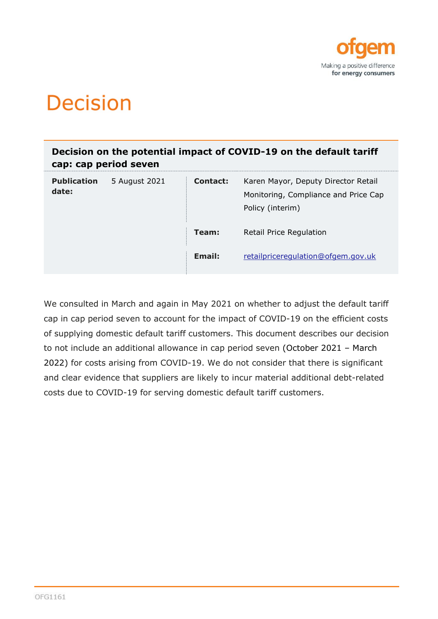

# **Decision**

**Decision on the potential impact of COVID-19 on the default tariff cap: cap period seven**

| <b>Publication</b><br>date: | 5 August 2021 | <b>Contact:</b> | Karen Mayor, Deputy Director Retail<br>Monitoring, Compliance and Price Cap<br>Policy (interim) |
|-----------------------------|---------------|-----------------|-------------------------------------------------------------------------------------------------|
|                             |               | Team:           | Retail Price Regulation                                                                         |
|                             |               | Email:          | retailpriceregulation@ofgem.gov.uk                                                              |

We consulted in March and again in May 2021 on whether to adjust the default tariff cap in cap period seven to account for the impact of COVID-19 on the efficient costs of supplying domestic default tariff customers. This document describes our decision to not include an additional allowance in cap period seven (October 2021 – March 2022) for costs arising from COVID-19. We do not consider that there is significant and clear evidence that suppliers are likely to incur material additional debt-related costs due to COVID-19 for serving domestic default tariff customers.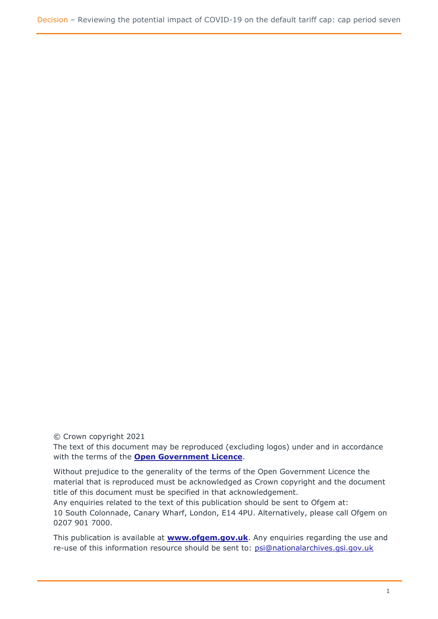© Crown copyright 2021

The text of this document may be reproduced (excluding logos) under and in accordance with the terms of the **[Open Government Licence](http://www.nationalarchives.gov.uk/doc/open-government-licence/version/3/)**.

Without prejudice to the generality of the terms of the Open Government Licence the material that is reproduced must be acknowledged as Crown copyright and the document title of this document must be specified in that acknowledgement.

Any enquiries related to the text of this publication should be sent to Ofgem at: 10 South Colonnade, Canary Wharf, London, E14 4PU. Alternatively, please call Ofgem on 0207 901 7000.

This publication is available at **[www.ofgem.gov.uk](http://www.ofgem.gov.uk/)**. Any enquiries regarding the use and re-use of this information resource should be sent to: [psi@nationalarchives.gsi.gov.uk](mailto:psi@nationalarchives.gsi.gov.uk)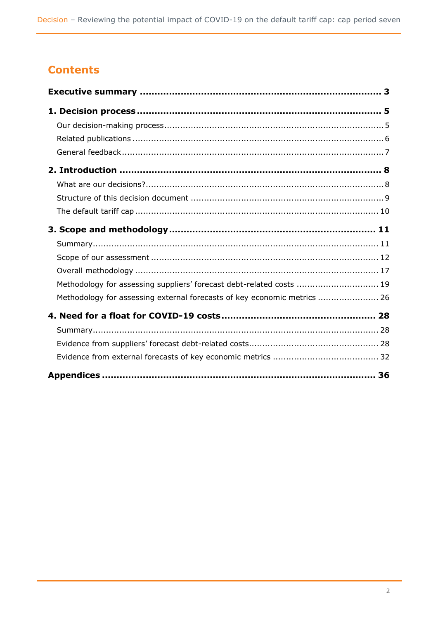# **Contents**

| Methodology for assessing suppliers' forecast debt-related costs  19     |  |
|--------------------------------------------------------------------------|--|
| Methodology for assessing external forecasts of key economic metrics  26 |  |
|                                                                          |  |
|                                                                          |  |
|                                                                          |  |
|                                                                          |  |
|                                                                          |  |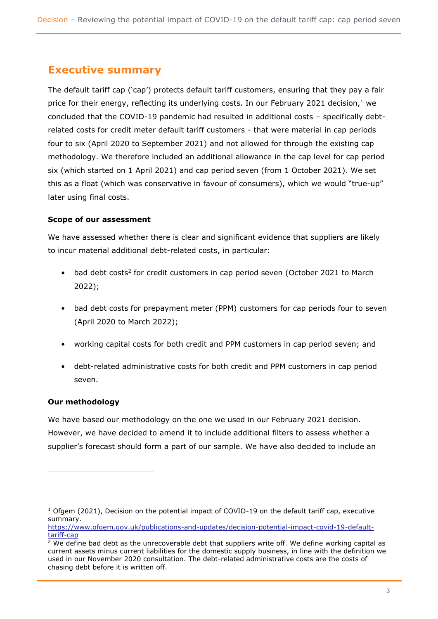# <span id="page-3-0"></span>**Executive summary**

The default tariff cap ('cap') protects default tariff customers, ensuring that they pay a fair price for their energy, reflecting its underlying costs. In our February 2021 decision, $1$  we concluded that the COVID-19 pandemic had resulted in additional costs – specifically debtrelated costs for credit meter default tariff customers - that were material in cap periods four to six (April 2020 to September 2021) and not allowed for through the existing cap methodology. We therefore included an additional allowance in the cap level for cap period six (which started on 1 April 2021) and cap period seven (from 1 October 2021). We set this as a float (which was conservative in favour of consumers), which we would "true-up" later using final costs.

### **Scope of our assessment**

We have assessed whether there is clear and significant evidence that suppliers are likely to incur material additional debt-related costs, in particular:

- bad debt costs<sup>2</sup> for credit customers in cap period seven (October 2021 to March 2022);
- bad debt costs for prepayment meter (PPM) customers for cap periods four to seven (April 2020 to March 2022);
- working capital costs for both credit and PPM customers in cap period seven; and
- debt-related administrative costs for both credit and PPM customers in cap period seven.

### **Our methodology**

We have based our methodology on the one we used in our February 2021 decision. However, we have decided to amend it to include additional filters to assess whether a supplier's forecast should form a part of our sample. We have also decided to include an

<sup>&</sup>lt;sup>1</sup> Ofgem (2021), Decision on the potential impact of COVID-19 on the default tariff cap, executive summary.

[https://www.ofgem.gov.uk/publications-and-updates/decision-potential-impact-covid-19-default](https://www.ofgem.gov.uk/publications-and-updates/decision-potential-impact-covid-19-default-tariff-cap)[tariff-cap](https://www.ofgem.gov.uk/publications-and-updates/decision-potential-impact-covid-19-default-tariff-cap)

 $2$  We define bad debt as the unrecoverable debt that suppliers write off. We define working capital as current assets minus current liabilities for the domestic supply business, in line with the definition we used in our November 2020 consultation. The debt-related administrative costs are the costs of chasing debt before it is written off.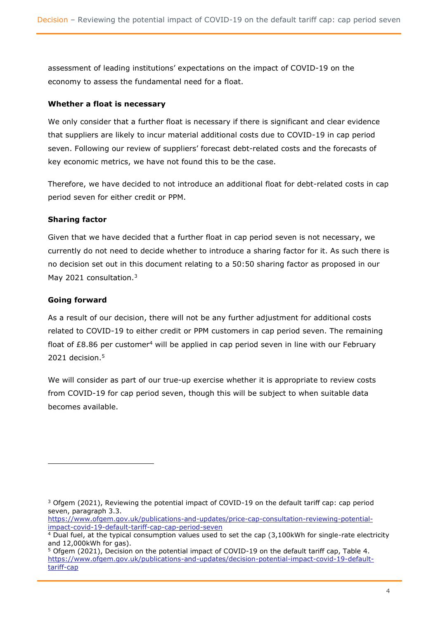assessment of leading institutions' expectations on the impact of COVID-19 on the economy to assess the fundamental need for a float.

#### **Whether a float is necessary**

We only consider that a further float is necessary if there is significant and clear evidence that suppliers are likely to incur material additional costs due to COVID-19 in cap period seven. Following our review of suppliers' forecast debt-related costs and the forecasts of key economic metrics, we have not found this to be the case.

Therefore, we have decided to not introduce an additional float for debt-related costs in cap period seven for either credit or PPM.

### **Sharing factor**

Given that we have decided that a further float in cap period seven is not necessary, we currently do not need to decide whether to introduce a sharing factor for it. As such there is no decision set out in this document relating to a 50:50 sharing factor as proposed in our May 2021 consultation.<sup>3</sup>

### **Going forward**

As a result of our decision, there will not be any further adjustment for additional costs related to COVID-19 to either credit or PPM customers in cap period seven. The remaining float of £8.86 per customer<sup>4</sup> will be applied in cap period seven in line with our February 2021 decision. 5

We will consider as part of our true-up exercise whether it is appropriate to review costs from COVID-19 for cap period seven, though this will be subject to when suitable data becomes available.

[https://www.ofgem.gov.uk/publications-and-updates/price-cap-consultation-reviewing-potential](https://www.ofgem.gov.uk/publications-and-updates/price-cap-consultation-reviewing-potential-impact-covid-19-default-tariff-cap-cap-period-seven)[impact-covid-19-default-tariff-cap-cap-period-seven](https://www.ofgem.gov.uk/publications-and-updates/price-cap-consultation-reviewing-potential-impact-covid-19-default-tariff-cap-cap-period-seven)

 $3$  Ofgem (2021), Reviewing the potential impact of COVID-19 on the default tariff cap: cap period seven, paragraph 3.3.

<sup>&</sup>lt;sup>4</sup> Dual fuel, at the typical consumption values used to set the cap (3,100kWh for single-rate electricity and 12,000kWh for gas).

<sup>5</sup> Ofgem (2021), Decision on the potential impact of COVID-19 on the default tariff cap, Table 4. https://www.ofgem.gov.uk/publications-and-updates/decision-potential-impact-covid-19-defaulttariff-cap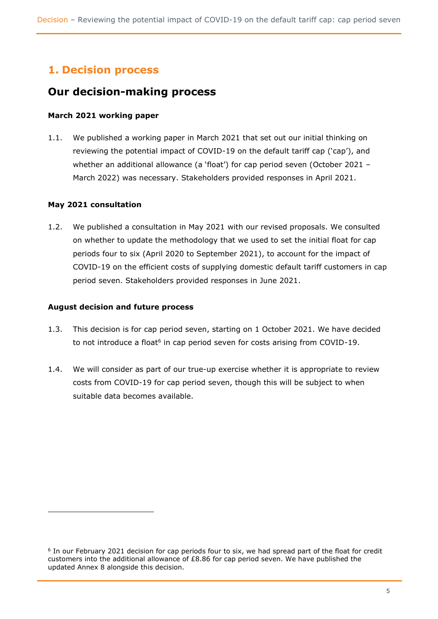# <span id="page-5-0"></span>**1. Decision process**

# <span id="page-5-1"></span>**Our decision-making process**

### **March 2021 working paper**

1.1. We published a working paper in March 2021 that set out our initial thinking on reviewing the potential impact of COVID-19 on the default tariff cap ('cap'), and whether an additional allowance (a 'float') for cap period seven (October 2021 -March 2022) was necessary. Stakeholders provided responses in April 2021.

### **May 2021 consultation**

1.2. We published a consultation in May 2021 with our revised proposals. We consulted on whether to update the methodology that we used to set the initial float for cap periods four to six (April 2020 to September 2021), to account for the impact of COVID-19 on the efficient costs of supplying domestic default tariff customers in cap period seven. Stakeholders provided responses in June 2021.

#### **August decision and future process**

- 1.3. This decision is for cap period seven, starting on 1 October 2021. We have decided to not introduce a float<sup>6</sup> in cap period seven for costs arising from COVID-19.
- 1.4. We will consider as part of our true-up exercise whether it is appropriate to review costs from COVID-19 for cap period seven, though this will be subject to when suitable data becomes available.

<sup>&</sup>lt;sup>6</sup> In our February 2021 decision for cap periods four to six, we had spread part of the float for credit customers into the additional allowance of £8.86 for cap period seven. We have published the updated Annex 8 alongside this decision.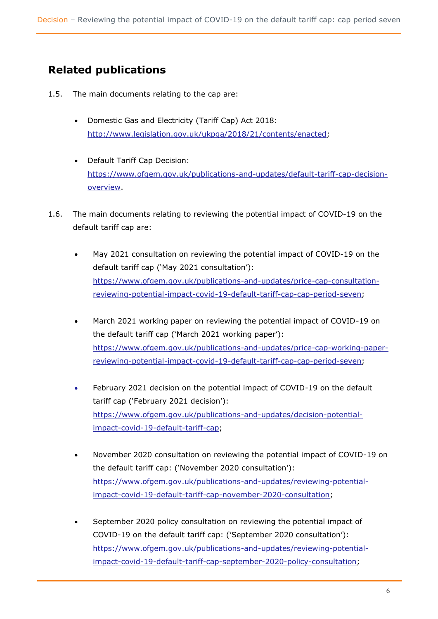# <span id="page-6-0"></span>**Related publications**

- 1.5. The main documents relating to the cap are:
	- Domestic Gas and Electricity (Tariff Cap) Act 2018: http://www.legislation.gov.uk/ukpga/2018/21/contents/enacted;
	- Default Tariff Cap Decision: [https://www.ofgem.gov.uk/publications-and-updates/default-tariff-cap-decision](https://www.ofgem.gov.uk/publications-and-updates/default-tariff-cap-decision-overview)[overview.](https://www.ofgem.gov.uk/publications-and-updates/default-tariff-cap-decision-overview)
- 1.6. The main documents relating to reviewing the potential impact of COVID-19 on the default tariff cap are:
	- May 2021 consultation on reviewing the potential impact of COVID-19 on the default tariff cap ('May 2021 consultation'): [https://www.ofgem.gov.uk/publications-and-updates/price-cap-consultation](https://www.ofgem.gov.uk/publications-and-updates/price-cap-consultation-reviewing-potential-impact-covid-19-default-tariff-cap-cap-period-seven)[reviewing-potential-impact-covid-19-default-tariff-cap-cap-period-seven;](https://www.ofgem.gov.uk/publications-and-updates/price-cap-consultation-reviewing-potential-impact-covid-19-default-tariff-cap-cap-period-seven)
	- March 2021 working paper on reviewing the potential impact of COVID-19 on the default tariff cap ('March 2021 working paper'): [https://www.ofgem.gov.uk/publications-and-updates/price-cap-working-paper](https://www.ofgem.gov.uk/publications-and-updates/price-cap-working-paper-reviewing-potential-impact-covid-19-default-tariff-cap-cap-period-seven)[reviewing-potential-impact-covid-19-default-tariff-cap-cap-period-seven;](https://www.ofgem.gov.uk/publications-and-updates/price-cap-working-paper-reviewing-potential-impact-covid-19-default-tariff-cap-cap-period-seven)
	- February 2021 decision on the potential impact of COVID-19 on the default tariff cap ('February 2021 decision'): [https://www.ofgem.gov.uk/publications-and-updates/decision-potential](https://www.ofgem.gov.uk/publications-and-updates/decision-potential-impact-covid-19-default-tariff-cap)[impact-covid-19-default-tariff-cap;](https://www.ofgem.gov.uk/publications-and-updates/decision-potential-impact-covid-19-default-tariff-cap)
	- November 2020 consultation on reviewing the potential impact of COVID-19 on the default tariff cap: ('November 2020 consultation'): [https://www.ofgem.gov.uk/publications-and-updates/reviewing-potential](https://www.ofgem.gov.uk/publications-and-updates/reviewing-potential-impact-covid-19-default-tariff-cap-november-2020-consultation)[impact-covid-19-default-tariff-cap-november-2020-consultation;](https://www.ofgem.gov.uk/publications-and-updates/reviewing-potential-impact-covid-19-default-tariff-cap-november-2020-consultation)
	- September 2020 policy consultation on reviewing the potential impact of COVID-19 on the default tariff cap: ('September 2020 consultation'): [https://www.ofgem.gov.uk/publications-and-updates/reviewing-potential](https://www.ofgem.gov.uk/publications-and-updates/reviewing-potential-impact-covid-19-default-tariff-cap-september-2020-policy-consultation)[impact-covid-19-default-tariff-cap-september-2020-policy-consultation;](https://www.ofgem.gov.uk/publications-and-updates/reviewing-potential-impact-covid-19-default-tariff-cap-september-2020-policy-consultation)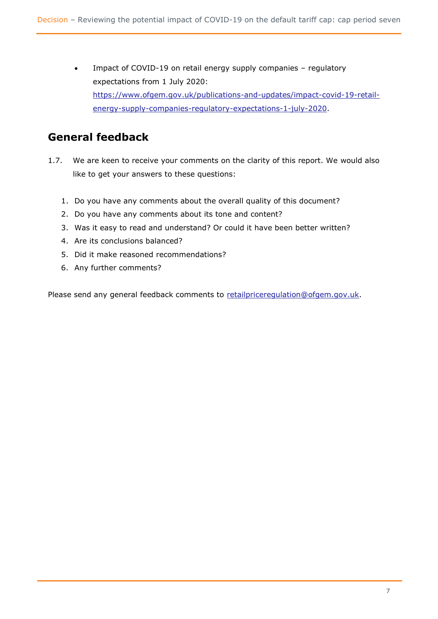Impact of COVID-19 on retail energy supply companies - regulatory expectations from 1 July 2020: [https://www.ofgem.gov.uk/publications-and-updates/impact-covid-19-retail](https://www.ofgem.gov.uk/publications-and-updates/impact-covid-19-retail-energy-supply-companies-regulatory-expectations-1-july-2020)[energy-supply-companies-regulatory-expectations-1-july-2020.](https://www.ofgem.gov.uk/publications-and-updates/impact-covid-19-retail-energy-supply-companies-regulatory-expectations-1-july-2020)

# <span id="page-7-0"></span>**General feedback**

- 1.7. We are keen to receive your comments on the clarity of this report. We would also like to get your answers to these questions:
	- 1. Do you have any comments about the overall quality of this document?
	- 2. Do you have any comments about its tone and content?
	- 3. Was it easy to read and understand? Or could it have been better written?
	- 4. Are its conclusions balanced?
	- 5. Did it make reasoned recommendations?
	- 6. Any further comments?

Please send any general feedback comments to [retailpriceregulation@ofgem.gov.uk.](mailto:retailpriceregulation@ofgem.gov.uk)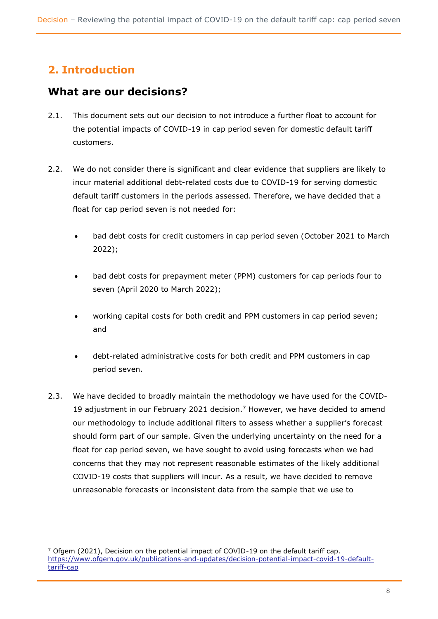# <span id="page-8-0"></span>**2. Introduction**

# <span id="page-8-1"></span>**What are our decisions?**

- 2.1. This document sets out our decision to not introduce a further float to account for the potential impacts of COVID-19 in cap period seven for domestic default tariff customers.
- 2.2. We do not consider there is significant and clear evidence that suppliers are likely to incur material additional debt-related costs due to COVID-19 for serving domestic default tariff customers in the periods assessed. Therefore, we have decided that a float for cap period seven is not needed for:
	- bad debt costs for credit customers in cap period seven (October 2021 to March 2022);
	- bad debt costs for prepayment meter (PPM) customers for cap periods four to seven (April 2020 to March 2022);
	- working capital costs for both credit and PPM customers in cap period seven; and
	- debt-related administrative costs for both credit and PPM customers in cap period seven.
- 2.3. We have decided to broadly maintain the methodology we have used for the COVID-19 adjustment in our February 2021 decision.<sup>7</sup> However, we have decided to amend our methodology to include additional filters to assess whether a supplier's forecast should form part of our sample. Given the underlying uncertainty on the need for a float for cap period seven, we have sought to avoid using forecasts when we had concerns that they may not represent reasonable estimates of the likely additional COVID-19 costs that suppliers will incur. As a result, we have decided to remove unreasonable forecasts or inconsistent data from the sample that we use to

 $7$  Ofgem (2021), Decision on the potential impact of COVID-19 on the default tariff cap. [https://www.ofgem.gov.uk/publications-and-updates/decision-potential-impact-covid-19-default](https://www.ofgem.gov.uk/publications-and-updates/decision-potential-impact-covid-19-default-tariff-cap)[tariff-cap](https://www.ofgem.gov.uk/publications-and-updates/decision-potential-impact-covid-19-default-tariff-cap)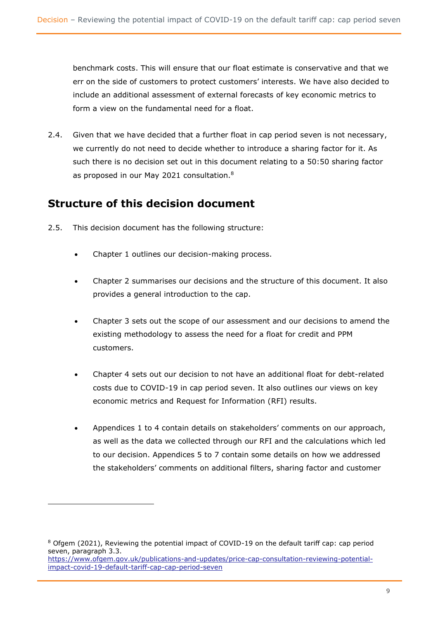benchmark costs. This will ensure that our float estimate is conservative and that we err on the side of customers to protect customers' interests. We have also decided to include an additional assessment of external forecasts of key economic metrics to form a view on the fundamental need for a float.

2.4. Given that we have decided that a further float in cap period seven is not necessary, we currently do not need to decide whether to introduce a sharing factor for it. As such there is no decision set out in this document relating to a 50:50 sharing factor as proposed in our May 2021 consultation.<sup>8</sup>

# <span id="page-9-0"></span>**Structure of this decision document**

- 2.5. This decision document has the following structure:
	- Chapter 1 outlines our decision-making process.
	- Chapter 2 summarises our decisions and the structure of this document. It also provides a general introduction to the cap.
	- Chapter 3 sets out the scope of our assessment and our decisions to amend the existing methodology to assess the need for a float for credit and PPM customers.
	- Chapter 4 sets out our decision to not have an additional float for debt-related costs due to COVID-19 in cap period seven. It also outlines our views on key economic metrics and Request for Information (RFI) results.
	- Appendices 1 to 4 contain details on stakeholders' comments on our approach, as well as the data we collected through our RFI and the calculations which led to our decision. Appendices 5 to 7 contain some details on how we addressed the stakeholders' comments on additional filters, sharing factor and customer

<sup>&</sup>lt;sup>8</sup> Ofgem (2021), Reviewing the potential impact of COVID-19 on the default tariff cap: cap period seven, paragraph 3.3. [https://www.ofgem.gov.uk/publications-and-updates/price-cap-consultation-reviewing-potential](https://www.ofgem.gov.uk/publications-and-updates/price-cap-consultation-reviewing-potential-impact-covid-19-default-tariff-cap-cap-period-seven)[impact-covid-19-default-tariff-cap-cap-period-seven](https://www.ofgem.gov.uk/publications-and-updates/price-cap-consultation-reviewing-potential-impact-covid-19-default-tariff-cap-cap-period-seven)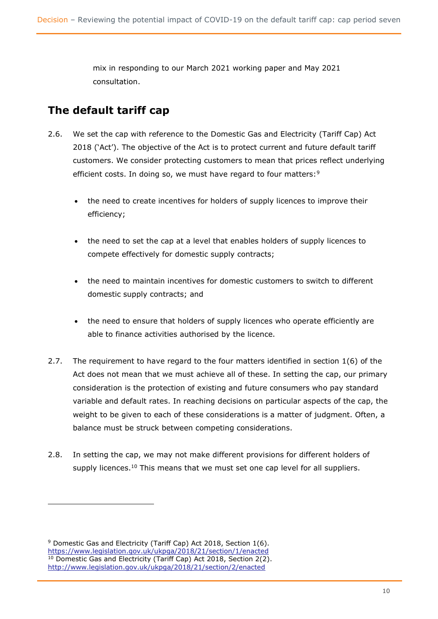mix in responding to our March 2021 working paper and May 2021 consultation.

# <span id="page-10-0"></span>**The default tariff cap**

- 2.6. We set the cap with reference to the Domestic Gas and Electricity (Tariff Cap) Act 2018 ('Act'). The objective of the Act is to protect current and future default tariff customers. We consider protecting customers to mean that prices reflect underlying efficient costs. In doing so, we must have regard to four matters:<sup>9</sup>
	- the need to create incentives for holders of supply licences to improve their efficiency;
	- the need to set the cap at a level that enables holders of supply licences to compete effectively for domestic supply contracts;
	- the need to maintain incentives for domestic customers to switch to different domestic supply contracts; and
	- the need to ensure that holders of supply licences who operate efficiently are able to finance activities authorised by the licence.
- 2.7. The requirement to have regard to the four matters identified in section 1(6) of the Act does not mean that we must achieve all of these. In setting the cap, our primary consideration is the protection of existing and future consumers who pay standard variable and default rates. In reaching decisions on particular aspects of the cap, the weight to be given to each of these considerations is a matter of judgment. Often, a balance must be struck between competing considerations.
- 2.8. In setting the cap, we may not make different provisions for different holders of supply licences.<sup>10</sup> This means that we must set one cap level for all suppliers.

 $9$  Domestic Gas and Electricity (Tariff Cap) Act 2018, Section 1(6). <https://www.legislation.gov.uk/ukpga/2018/21/section/1/enacted> <sup>10</sup> Domestic Gas and Electricity (Tariff Cap) Act 2018, Section 2(2). <http://www.legislation.gov.uk/ukpga/2018/21/section/2/enacted>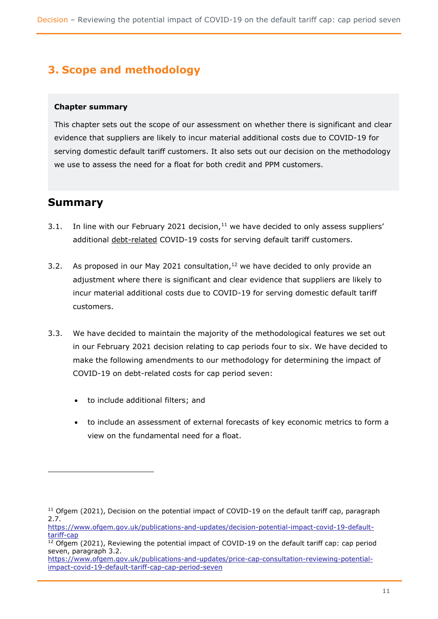# <span id="page-11-0"></span>**3. Scope and methodology**

### **Chapter summary**

This chapter sets out the scope of our assessment on whether there is significant and clear evidence that suppliers are likely to incur material additional costs due to COVID-19 for serving domestic default tariff customers. It also sets out our decision on the methodology we use to assess the need for a float for both credit and PPM customers.

# <span id="page-11-1"></span>**Summary**

- 3.1. In line with our February 2021 decision, $11$  we have decided to only assess suppliers' additional debt-related COVID-19 costs for serving default tariff customers.
- 3.2. As proposed in our May 2021 consultation, $12$  we have decided to only provide an adjustment where there is significant and clear evidence that suppliers are likely to incur material additional costs due to COVID-19 for serving domestic default tariff customers.
- 3.3. We have decided to maintain the majority of the methodological features we set out in our February 2021 decision relating to cap periods four to six. We have decided to make the following amendments to our methodology for determining the impact of COVID-19 on debt-related costs for cap period seven:
	- to include additional filters; and
	- to include an assessment of external forecasts of key economic metrics to form a view on the fundamental need for a float.

 $11$  Ofgem (2021), Decision on the potential impact of COVID-19 on the default tariff cap, paragraph 2.7.

https://www.ofgem.gov.uk/publications-and-updates/decision-potential-impact-covid-19-defaulttariff-cap

 $12$  Ofgem (2021), Reviewing the potential impact of COVID-19 on the default tariff cap: cap period seven, paragraph 3.2.

[https://www.ofgem.gov.uk/publications-and-updates/price-cap-consultation-reviewing-potential](https://www.ofgem.gov.uk/publications-and-updates/price-cap-consultation-reviewing-potential-impact-covid-19-default-tariff-cap-cap-period-seven)[impact-covid-19-default-tariff-cap-cap-period-seven](https://www.ofgem.gov.uk/publications-and-updates/price-cap-consultation-reviewing-potential-impact-covid-19-default-tariff-cap-cap-period-seven)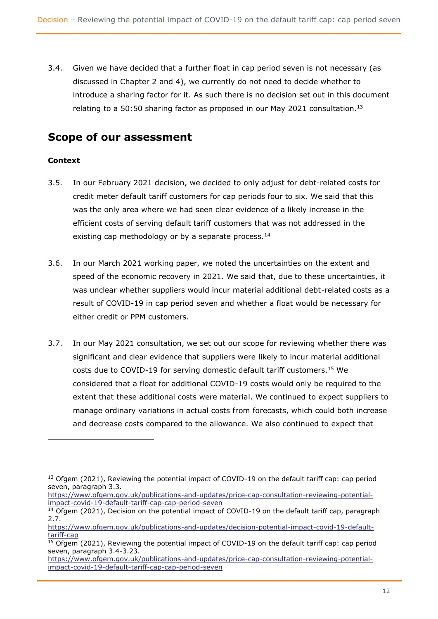3.4. Given we have decided that a further float in cap period seven is not necessary (as discussed in Chapter 2 and 4), we currently do not need to decide whether to introduce a sharing factor for it. As such there is no decision set out in this document relating to a 50:50 sharing factor as proposed in our May 2021 consultation.<sup>13</sup>

# <span id="page-12-0"></span>**Scope of our assessment**

### **Context**

- 3.5. In our February 2021 decision, we decided to only adjust for debt-related costs for credit meter default tariff customers for cap periods four to six. We said that this was the only area where we had seen clear evidence of a likely increase in the efficient costs of serving default tariff customers that was not addressed in the existing cap methodology or by a separate process.<sup>14</sup>
- 3.6. In our March 2021 working paper, we noted the uncertainties on the extent and speed of the economic recovery in 2021. We said that, due to these uncertainties, it was unclear whether suppliers would incur material additional debt-related costs as a result of COVID-19 in cap period seven and whether a float would be necessary for either credit or PPM customers.
- 3.7. In our May 2021 consultation, we set out our scope for reviewing whether there was significant and clear evidence that suppliers were likely to incur material additional costs due to COVID-19 for serving domestic default tariff customers.<sup>15</sup> We considered that a float for additional COVID-19 costs would only be required to the extent that these additional costs were material. We continued to expect suppliers to manage ordinary variations in actual costs from forecasts, which could both increase and decrease costs compared to the allowance. We also continued to expect that

[https://www.ofgem.gov.uk/publications-and-updates/price-cap-consultation-reviewing-potential](https://www.ofgem.gov.uk/publications-and-updates/price-cap-consultation-reviewing-potential-impact-covid-19-default-tariff-cap-cap-period-seven)[impact-covid-19-default-tariff-cap-cap-period-seven](https://www.ofgem.gov.uk/publications-and-updates/price-cap-consultation-reviewing-potential-impact-covid-19-default-tariff-cap-cap-period-seven)

<sup>&</sup>lt;sup>13</sup> Ofgem (2021), Reviewing the potential impact of COVID-19 on the default tariff cap: cap period seven, paragraph 3.3.

 $\frac{14}{14}$  Ofgem (2021), Decision on the potential impact of COVID-19 on the default tariff cap, paragraph 2.7.

[https://www.ofgem.gov.uk/publications-and-updates/decision-potential-impact-covid-19-default](https://www.ofgem.gov.uk/publications-and-updates/decision-potential-impact-covid-19-default-tariff-cap)[tariff-cap](https://www.ofgem.gov.uk/publications-and-updates/decision-potential-impact-covid-19-default-tariff-cap)

<sup>&</sup>lt;sup>15</sup> Ofgem (2021), Reviewing the potential impact of COVID-19 on the default tariff cap: cap period seven, paragraph 3.4-3.23.

[https://www.ofgem.gov.uk/publications-and-updates/price-cap-consultation-reviewing-potential](https://www.ofgem.gov.uk/publications-and-updates/price-cap-consultation-reviewing-potential-impact-covid-19-default-tariff-cap-cap-period-seven)[impact-covid-19-default-tariff-cap-cap-period-seven](https://www.ofgem.gov.uk/publications-and-updates/price-cap-consultation-reviewing-potential-impact-covid-19-default-tariff-cap-cap-period-seven)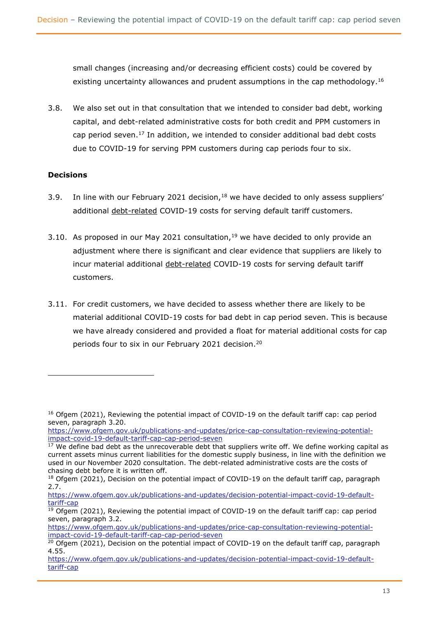small changes (increasing and/or decreasing efficient costs) could be covered by existing uncertainty allowances and prudent assumptions in the cap methodology.<sup>16</sup>

3.8. We also set out in that consultation that we intended to consider bad debt, working capital, and debt-related administrative costs for both credit and PPM customers in cap period seven.<sup>17</sup> In addition, we intended to consider additional bad debt costs due to COVID-19 for serving PPM customers during cap periods four to six.

### **Decisions**

- 3.9. In line with our February 2021 decision,  $18$  we have decided to only assess suppliers' additional debt-related COVID-19 costs for serving default tariff customers.
- 3.10. As proposed in our May 2021 consultation,  $19$  we have decided to only provide an adjustment where there is significant and clear evidence that suppliers are likely to incur material additional debt-related COVID-19 costs for serving default tariff customers.
- 3.11. For credit customers, we have decided to assess whether there are likely to be material additional COVID-19 costs for bad debt in cap period seven. This is because we have already considered and provided a float for material additional costs for cap periods four to six in our February 2021 decision.<sup>20</sup>

<sup>&</sup>lt;sup>16</sup> Ofgem (2021), Reviewing the potential impact of COVID-19 on the default tariff cap: cap period seven, paragraph 3.20.

https://www.ofgem.gov.uk/publications-and-updates/price-cap-consultation-reviewing-potentialimpact-covid-19-default-tariff-cap-cap-period-seven

 $17$  We define bad debt as the unrecoverable debt that suppliers write off. We define working capital as current assets minus current liabilities for the domestic supply business, in line with the definition we used in our November 2020 consultation. The debt-related administrative costs are the costs of chasing debt before it is written off.

<sup>&</sup>lt;sup>18</sup> Ofgem (2021), Decision on the potential impact of COVID-19 on the default tariff cap, paragraph 2.7.

https://www.ofgem.gov.uk/publications-and-updates/decision-potential-impact-covid-19-defaulttariff-cap

 $\overline{^{19}$  Ofgem (2021), Reviewing the potential impact of COVID-19 on the default tariff cap: cap period seven, paragraph 3.2.

[https://www.ofgem.gov.uk/publications-and-updates/price-cap-consultation-reviewing-potential](https://www.ofgem.gov.uk/publications-and-updates/price-cap-consultation-reviewing-potential-impact-covid-19-default-tariff-cap-cap-period-seven)[impact-covid-19-default-tariff-cap-cap-period-seven](https://www.ofgem.gov.uk/publications-and-updates/price-cap-consultation-reviewing-potential-impact-covid-19-default-tariff-cap-cap-period-seven)

 $20$  Ofgem (2021), Decision on the potential impact of COVID-19 on the default tariff cap, paragraph 4.55.

[https://www.ofgem.gov.uk/publications-and-updates/decision-potential-impact-covid-19-default](https://www.ofgem.gov.uk/publications-and-updates/decision-potential-impact-covid-19-default-tariff-cap)[tariff-cap](https://www.ofgem.gov.uk/publications-and-updates/decision-potential-impact-covid-19-default-tariff-cap)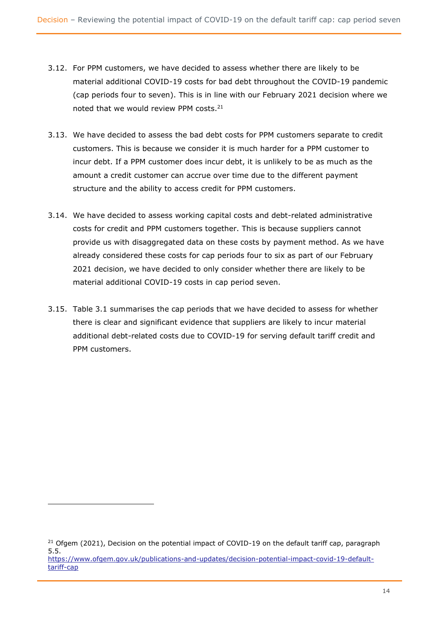- 3.12. For PPM customers, we have decided to assess whether there are likely to be material additional COVID-19 costs for bad debt throughout the COVID-19 pandemic (cap periods four to seven). This is in line with our February 2021 decision where we noted that we would review PPM costs.<sup>21</sup>
- 3.13. We have decided to assess the bad debt costs for PPM customers separate to credit customers. This is because we consider it is much harder for a PPM customer to incur debt. If a PPM customer does incur debt, it is unlikely to be as much as the amount a credit customer can accrue over time due to the different payment structure and the ability to access credit for PPM customers.
- 3.14. We have decided to assess working capital costs and debt-related administrative costs for credit and PPM customers together. This is because suppliers cannot provide us with disaggregated data on these costs by payment method. As we have already considered these costs for cap periods four to six as part of our February 2021 decision, we have decided to only consider whether there are likely to be material additional COVID-19 costs in cap period seven.
- 3.15. Table 3.1 summarises the cap periods that we have decided to assess for whether there is clear and significant evidence that suppliers are likely to incur material additional debt-related costs due to COVID-19 for serving default tariff credit and PPM customers.

 $21$  Ofgem (2021), Decision on the potential impact of COVID-19 on the default tariff cap, paragraph 5.5. [https://www.ofgem.gov.uk/publications-and-updates/decision-potential-impact-covid-19-default-](https://www.ofgem.gov.uk/publications-and-updates/decision-potential-impact-covid-19-default-tariff-cap)

[tariff-cap](https://www.ofgem.gov.uk/publications-and-updates/decision-potential-impact-covid-19-default-tariff-cap)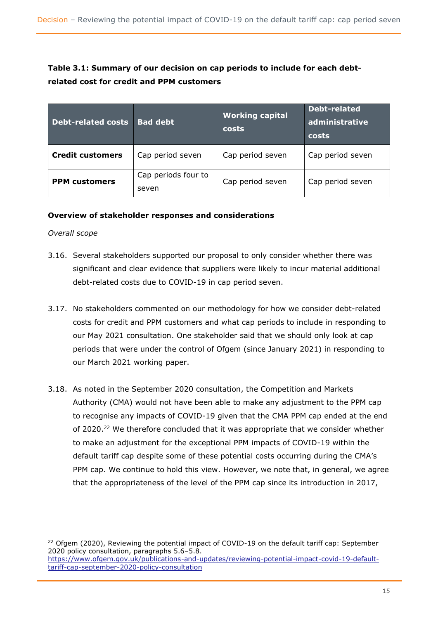### **Table 3.1: Summary of our decision on cap periods to include for each debtrelated cost for credit and PPM customers**

| <b>Debt-related costs</b> | <b>Bad debt</b>              | <b>Working capital</b><br>costs | Debt-related<br>administrative<br>costs |  |
|---------------------------|------------------------------|---------------------------------|-----------------------------------------|--|
| <b>Credit customers</b>   | Cap period seven             | Cap period seven                | Cap period seven                        |  |
| <b>PPM</b> customers      | Cap periods four to<br>seven | Cap period seven                | Cap period seven                        |  |

### **Overview of stakeholder responses and considerations**

#### *Overall scope*

- 3.16. Several stakeholders supported our proposal to only consider whether there was significant and clear evidence that suppliers were likely to incur material additional debt-related costs due to COVID-19 in cap period seven.
- 3.17. No stakeholders commented on our methodology for how we consider debt-related costs for credit and PPM customers and what cap periods to include in responding to our May 2021 consultation. One stakeholder said that we should only look at cap periods that were under the control of Ofgem (since January 2021) in responding to our March 2021 working paper.
- 3.18. As noted in the September 2020 consultation, the Competition and Markets Authority (CMA) would not have been able to make any adjustment to the PPM cap to recognise any impacts of COVID-19 given that the CMA PPM cap ended at the end of 2020.<sup>22</sup> We therefore concluded that it was appropriate that we consider whether to make an adjustment for the exceptional PPM impacts of COVID-19 within the default tariff cap despite some of these potential costs occurring during the CMA's PPM cap. We continue to hold this view. However, we note that, in general, we agree that the appropriateness of the level of the PPM cap since its introduction in 2017,

 $22$  Ofgem (2020), Reviewing the potential impact of COVID-19 on the default tariff cap: September 2020 policy consultation, paragraphs 5.6–5.8. [https://www.ofgem.gov.uk/publications-and-updates/reviewing-potential-impact-covid-19-default-](https://www.ofgem.gov.uk/publications-and-updates/reviewing-potential-impact-covid-19-default-tariff-cap-september-2020-policy-consultation)

[tariff-cap-september-2020-policy-consultation](https://www.ofgem.gov.uk/publications-and-updates/reviewing-potential-impact-covid-19-default-tariff-cap-september-2020-policy-consultation)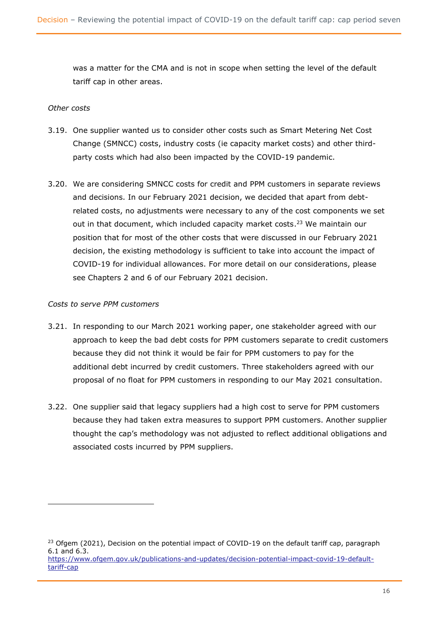was a matter for the CMA and is not in scope when setting the level of the default tariff cap in other areas.

#### *Other costs*

- 3.19. One supplier wanted us to consider other costs such as Smart Metering Net Cost Change (SMNCC) costs, industry costs (ie capacity market costs) and other thirdparty costs which had also been impacted by the COVID-19 pandemic.
- 3.20. We are considering SMNCC costs for credit and PPM customers in separate reviews and decisions. In our February 2021 decision, we decided that apart from debtrelated costs, no adjustments were necessary to any of the cost components we set out in that document, which included capacity market costs.<sup>23</sup> We maintain our position that for most of the other costs that were discussed in our February 2021 decision, the existing methodology is sufficient to take into account the impact of COVID-19 for individual allowances. For more detail on our considerations, please see Chapters 2 and 6 of our February 2021 decision.

#### *Costs to serve PPM customers*

- 3.21. In responding to our March 2021 working paper, one stakeholder agreed with our approach to keep the bad debt costs for PPM customers separate to credit customers because they did not think it would be fair for PPM customers to pay for the additional debt incurred by credit customers. Three stakeholders agreed with our proposal of no float for PPM customers in responding to our May 2021 consultation.
- 3.22. One supplier said that legacy suppliers had a high cost to serve for PPM customers because they had taken extra measures to support PPM customers. Another supplier thought the cap's methodology was not adjusted to reflect additional obligations and associated costs incurred by PPM suppliers.

 $23$  Ofgem (2021), Decision on the potential impact of COVID-19 on the default tariff cap, paragraph 6.1 and 6.3. [https://www.ofgem.gov.uk/publications-and-updates/decision-potential-impact-covid-19-default](https://www.ofgem.gov.uk/publications-and-updates/decision-potential-impact-covid-19-default-tariff-cap)[tariff-cap](https://www.ofgem.gov.uk/publications-and-updates/decision-potential-impact-covid-19-default-tariff-cap)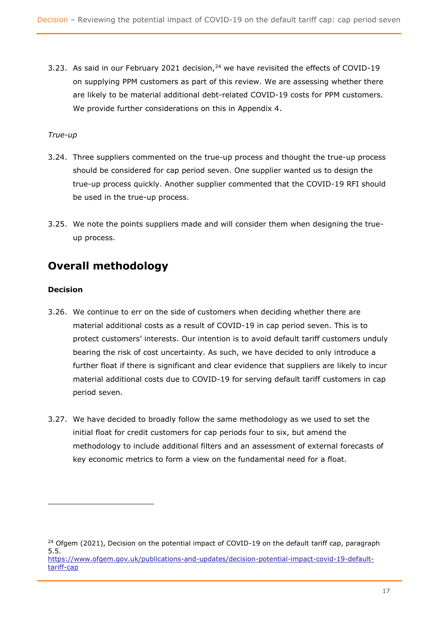3.23. As said in our February 2021 decision,<sup>24</sup> we have revisited the effects of COVID-19 on supplying PPM customers as part of this review. We are assessing whether there are likely to be material additional debt-related COVID-19 costs for PPM customers. We provide further considerations on this in Appendix 4.

### *True-up*

- 3.24. Three suppliers commented on the true-up process and thought the true-up process should be considered for cap period seven. One supplier wanted us to design the true-up process quickly. Another supplier commented that the COVID-19 RFI should be used in the true-up process.
- 3.25. We note the points suppliers made and will consider them when designing the trueup process.

# <span id="page-17-0"></span>**Overall methodology**

### **Decision**

- 3.26. We continue to err on the side of customers when deciding whether there are material additional costs as a result of COVID-19 in cap period seven. This is to protect customers' interests. Our intention is to avoid default tariff customers unduly bearing the risk of cost uncertainty. As such, we have decided to only introduce a further float if there is significant and clear evidence that suppliers are likely to incur material additional costs due to COVID-19 for serving default tariff customers in cap period seven.
- 3.27. We have decided to broadly follow the same methodology as we used to set the initial float for credit customers for cap periods four to six, but amend the methodology to include additional filters and an assessment of external forecasts of key economic metrics to form a view on the fundamental need for a float.

<sup>&</sup>lt;sup>24</sup> Ofgem (2021), Decision on the potential impact of COVID-19 on the default tariff cap, paragraph 5.5. [https://www.ofgem.gov.uk/publications-and-updates/decision-potential-impact-covid-19-default](https://www.ofgem.gov.uk/publications-and-updates/decision-potential-impact-covid-19-default-tariff-cap)[tariff-cap](https://www.ofgem.gov.uk/publications-and-updates/decision-potential-impact-covid-19-default-tariff-cap)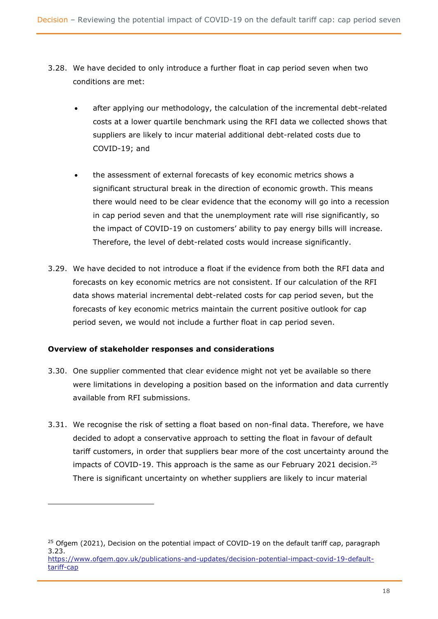- 3.28. We have decided to only introduce a further float in cap period seven when two conditions are met:
	- after applying our methodology, the calculation of the incremental debt-related costs at a lower quartile benchmark using the RFI data we collected shows that suppliers are likely to incur material additional debt-related costs due to COVID-19; and
	- the assessment of external forecasts of key economic metrics shows a significant structural break in the direction of economic growth. This means there would need to be clear evidence that the economy will go into a recession in cap period seven and that the unemployment rate will rise significantly, so the impact of COVID-19 on customers' ability to pay energy bills will increase. Therefore, the level of debt-related costs would increase significantly.
- 3.29. We have decided to not introduce a float if the evidence from both the RFI data and forecasts on key economic metrics are not consistent. If our calculation of the RFI data shows material incremental debt-related costs for cap period seven, but the forecasts of key economic metrics maintain the current positive outlook for cap period seven, we would not include a further float in cap period seven.

### **Overview of stakeholder responses and considerations**

- 3.30. One supplier commented that clear evidence might not yet be available so there were limitations in developing a position based on the information and data currently available from RFI submissions.
- 3.31. We recognise the risk of setting a float based on non-final data. Therefore, we have decided to adopt a conservative approach to setting the float in favour of default tariff customers, in order that suppliers bear more of the cost uncertainty around the impacts of COVID-19. This approach is the same as our February 2021 decision.<sup>25</sup> There is significant uncertainty on whether suppliers are likely to incur material

 $25$  Ofgem (2021), Decision on the potential impact of COVID-19 on the default tariff cap, paragraph 3.23. [https://www.ofgem.gov.uk/publications-and-updates/decision-potential-impact-covid-19-default](https://www.ofgem.gov.uk/publications-and-updates/decision-potential-impact-covid-19-default-tariff-cap)[tariff-cap](https://www.ofgem.gov.uk/publications-and-updates/decision-potential-impact-covid-19-default-tariff-cap)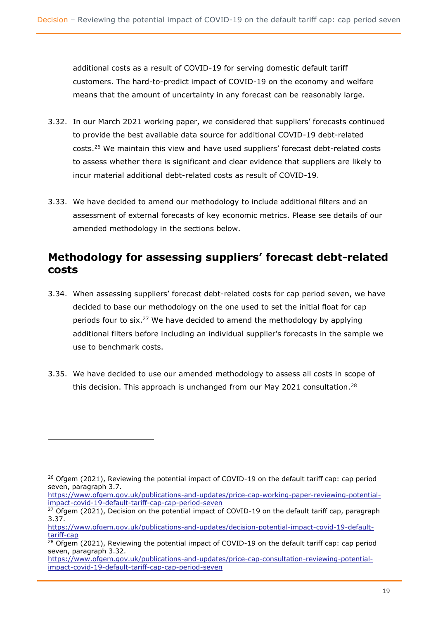additional costs as a result of COVID-19 for serving domestic default tariff customers. The hard-to-predict impact of COVID-19 on the economy and welfare means that the amount of uncertainty in any forecast can be reasonably large.

- 3.32. In our March 2021 working paper, we considered that suppliers' forecasts continued to provide the best available data source for additional COVID-19 debt-related costs.<sup>26</sup> We maintain this view and have used suppliers' forecast debt-related costs to assess whether there is significant and clear evidence that suppliers are likely to incur material additional debt-related costs as result of COVID-19.
- 3.33. We have decided to amend our methodology to include additional filters and an assessment of external forecasts of key economic metrics. Please see details of our amended methodology in the sections below.

# <span id="page-19-0"></span>**Methodology for assessing suppliers' forecast debt-related costs**

- 3.34. When assessing suppliers' forecast debt-related costs for cap period seven, we have decided to base our methodology on the one used to set the initial float for cap periods four to six.<sup>27</sup> We have decided to amend the methodology by applying additional filters before including an individual supplier's forecasts in the sample we use to benchmark costs.
- 3.35. We have decided to use our amended methodology to assess all costs in scope of this decision. This approach is unchanged from our May 2021 consultation.<sup>28</sup>

 $26$  Ofgem (2021), Reviewing the potential impact of COVID-19 on the default tariff cap: cap period seven, paragraph 3.7.

https://www.ofgem.gov.uk/publications-and-updates/price-cap-working-paper-reviewing-potentialimpact-covid-19-default-tariff-cap-cap-period-seven

 $\frac{27}{27}$  Ofgem (2021), Decision on the potential impact of COVID-19 on the default tariff cap, paragraph 3.37.

[https://www.ofgem.gov.uk/publications-and-updates/decision-potential-impact-covid-19-default](https://www.ofgem.gov.uk/publications-and-updates/decision-potential-impact-covid-19-default-tariff-cap)[tariff-cap](https://www.ofgem.gov.uk/publications-and-updates/decision-potential-impact-covid-19-default-tariff-cap)

 $28$  Ofgem (2021), Reviewing the potential impact of COVID-19 on the default tariff cap: cap period seven, paragraph 3.32.

[https://www.ofgem.gov.uk/publications-and-updates/price-cap-consultation-reviewing-potential](https://www.ofgem.gov.uk/publications-and-updates/price-cap-consultation-reviewing-potential-impact-covid-19-default-tariff-cap-cap-period-seven)[impact-covid-19-default-tariff-cap-cap-period-seven](https://www.ofgem.gov.uk/publications-and-updates/price-cap-consultation-reviewing-potential-impact-covid-19-default-tariff-cap-cap-period-seven)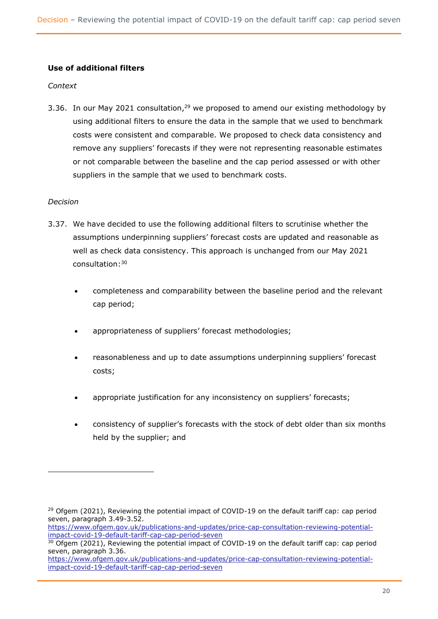### **Use of additional filters**

#### *Context*

3.36. In our May 2021 consultation,<sup>29</sup> we proposed to amend our existing methodology by using additional filters to ensure the data in the sample that we used to benchmark costs were consistent and comparable. We proposed to check data consistency and remove any suppliers' forecasts if they were not representing reasonable estimates or not comparable between the baseline and the cap period assessed or with other suppliers in the sample that we used to benchmark costs.

#### *Decision*

- 3.37. We have decided to use the following additional filters to scrutinise whether the assumptions underpinning suppliers' forecast costs are updated and reasonable as well as check data consistency. This approach is unchanged from our May 2021 consultation: 30
	- completeness and comparability between the baseline period and the relevant cap period;
	- appropriateness of suppliers' forecast methodologies;
	- reasonableness and up to date assumptions underpinning suppliers' forecast costs;
	- appropriate justification for any inconsistency on suppliers' forecasts;
	- consistency of supplier's forecasts with the stock of debt older than six months held by the supplier; and

[https://www.ofgem.gov.uk/publications-and-updates/price-cap-consultation-reviewing-potential](https://www.ofgem.gov.uk/publications-and-updates/price-cap-consultation-reviewing-potential-impact-covid-19-default-tariff-cap-cap-period-seven)[impact-covid-19-default-tariff-cap-cap-period-seven](https://www.ofgem.gov.uk/publications-and-updates/price-cap-consultation-reviewing-potential-impact-covid-19-default-tariff-cap-cap-period-seven)

 $29$  Ofgem (2021), Reviewing the potential impact of COVID-19 on the default tariff cap: cap period seven, paragraph 3.49-3.52.

<sup>&</sup>lt;sup>30</sup> Ofgem (2021), Reviewing the potential impact of COVID-19 on the default tariff cap: cap period seven, paragraph 3.36.

[https://www.ofgem.gov.uk/publications-and-updates/price-cap-consultation-reviewing-potential](https://www.ofgem.gov.uk/publications-and-updates/price-cap-consultation-reviewing-potential-impact-covid-19-default-tariff-cap-cap-period-seven)[impact-covid-19-default-tariff-cap-cap-period-seven](https://www.ofgem.gov.uk/publications-and-updates/price-cap-consultation-reviewing-potential-impact-covid-19-default-tariff-cap-cap-period-seven)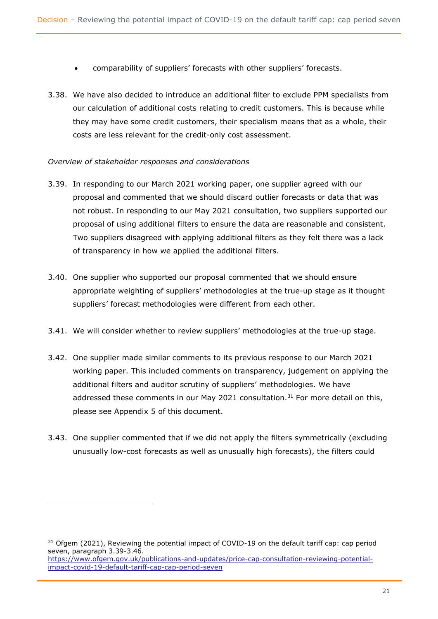- comparability of suppliers' forecasts with other suppliers' forecasts.
- 3.38. We have also decided to introduce an additional filter to exclude PPM specialists from our calculation of additional costs relating to credit customers. This is because while they may have some credit customers, their specialism means that as a whole, their costs are less relevant for the credit-only cost assessment.

### *Overview of stakeholder responses and considerations*

- 3.39. In responding to our March 2021 working paper, one supplier agreed with our proposal and commented that we should discard outlier forecasts or data that was not robust. In responding to our May 2021 consultation, two suppliers supported our proposal of using additional filters to ensure the data are reasonable and consistent. Two suppliers disagreed with applying additional filters as they felt there was a lack of transparency in how we applied the additional filters.
- 3.40. One supplier who supported our proposal commented that we should ensure appropriate weighting of suppliers' methodologies at the true-up stage as it thought suppliers' forecast methodologies were different from each other.
- 3.41. We will consider whether to review suppliers' methodologies at the true-up stage.
- 3.42. One supplier made similar comments to its previous response to our March 2021 working paper. This included comments on transparency, judgement on applying the additional filters and auditor scrutiny of suppliers' methodologies. We have addressed these comments in our May 2021 consultation.<sup>31</sup> For more detail on this, please see Appendix 5 of this document.
- 3.43. One supplier commented that if we did not apply the filters symmetrically (excluding unusually low-cost forecasts as well as unusually high forecasts), the filters could

 $31$  Ofgem (2021), Reviewing the potential impact of COVID-19 on the default tariff cap: cap period seven, paragraph 3.39-3.46. [https://www.ofgem.gov.uk/publications-and-updates/price-cap-consultation-reviewing-potential](https://www.ofgem.gov.uk/publications-and-updates/price-cap-consultation-reviewing-potential-impact-covid-19-default-tariff-cap-cap-period-seven)[impact-covid-19-default-tariff-cap-cap-period-seven](https://www.ofgem.gov.uk/publications-and-updates/price-cap-consultation-reviewing-potential-impact-covid-19-default-tariff-cap-cap-period-seven)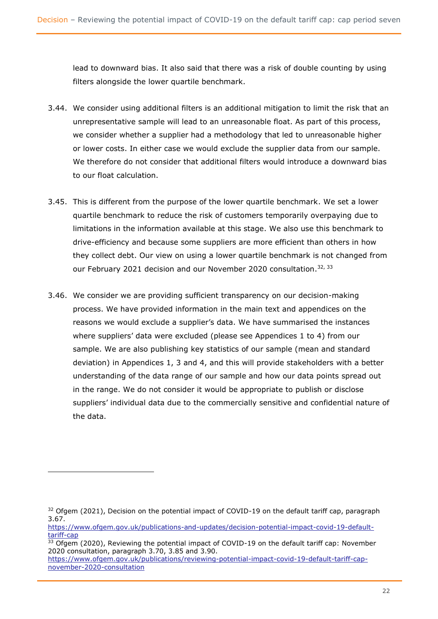lead to downward bias. It also said that there was a risk of double counting by using filters alongside the lower quartile benchmark.

- 3.44. We consider using additional filters is an additional mitigation to limit the risk that an unrepresentative sample will lead to an unreasonable float. As part of this process, we consider whether a supplier had a methodology that led to unreasonable higher or lower costs. In either case we would exclude the supplier data from our sample. We therefore do not consider that additional filters would introduce a downward bias to our float calculation.
- 3.45. This is different from the purpose of the lower quartile benchmark. We set a lower quartile benchmark to reduce the risk of customers temporarily overpaying due to limitations in the information available at this stage. We also use this benchmark to drive-efficiency and because some suppliers are more efficient than others in how they collect debt. Our view on using a lower quartile benchmark is not changed from our February 2021 decision and our November 2020 consultation.<sup>32, 33</sup>
- 3.46. We consider we are providing sufficient transparency on our decision-making process. We have provided information in the main text and appendices on the reasons we would exclude a supplier's data. We have summarised the instances where suppliers' data were excluded (please see Appendices 1 to 4) from our sample. We are also publishing key statistics of our sample (mean and standard deviation) in Appendices 1, 3 and 4, and this will provide stakeholders with a better understanding of the data range of our sample and how our data points spread out in the range. We do not consider it would be appropriate to publish or disclose suppliers' individual data due to the commercially sensitive and confidential nature of the data.

<sup>&</sup>lt;sup>32</sup> Ofgem (2021), Decision on the potential impact of COVID-19 on the default tariff cap, paragraph 3.67.

[https://www.ofgem.gov.uk/publications-and-updates/decision-potential-impact-covid-19-default](https://www.ofgem.gov.uk/publications-and-updates/decision-potential-impact-covid-19-default-tariff-cap)[tariff-cap](https://www.ofgem.gov.uk/publications-and-updates/decision-potential-impact-covid-19-default-tariff-cap)

 $33$  Ofgem (2020), Reviewing the potential impact of COVID-19 on the default tariff cap: November 2020 consultation, paragraph 3.70, 3.85 and 3.90.

https://www.ofgem.gov.uk/publications/reviewing-potential-impact-covid-19-default-tariff-capnovember-2020-consultation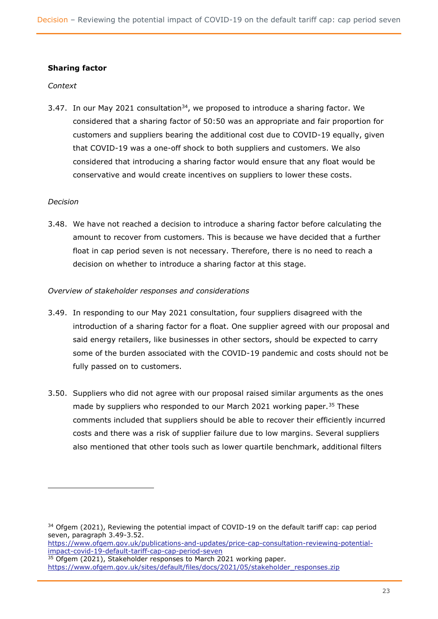### **Sharing factor**

#### *Context*

3.47. In our May 2021 consultation<sup>34</sup>, we proposed to introduce a sharing factor. We considered that a sharing factor of 50:50 was an appropriate and fair proportion for customers and suppliers bearing the additional cost due to COVID-19 equally, given that COVID-19 was a one-off shock to both suppliers and customers. We also considered that introducing a sharing factor would ensure that any float would be conservative and would create incentives on suppliers to lower these costs.

#### *Decision*

3.48. We have not reached a decision to introduce a sharing factor before calculating the amount to recover from customers. This is because we have decided that a further float in cap period seven is not necessary. Therefore, there is no need to reach a decision on whether to introduce a sharing factor at this stage.

#### *Overview of stakeholder responses and considerations*

- 3.49. In responding to our May 2021 consultation, four suppliers disagreed with the introduction of a sharing factor for a float. One supplier agreed with our proposal and said energy retailers, like businesses in other sectors, should be expected to carry some of the burden associated with the COVID-19 pandemic and costs should not be fully passed on to customers.
- 3.50. Suppliers who did not agree with our proposal raised similar arguments as the ones made by suppliers who responded to our March 2021 working paper.<sup>35</sup> These comments included that suppliers should be able to recover their efficiently incurred costs and there was a risk of supplier failure due to low margins. Several suppliers also mentioned that other tools such as lower quartile benchmark, additional filters

[https://www.ofgem.gov.uk/publications-and-updates/price-cap-consultation-reviewing-potential](https://www.ofgem.gov.uk/publications-and-updates/price-cap-consultation-reviewing-potential-impact-covid-19-default-tariff-cap-cap-period-seven)[impact-covid-19-default-tariff-cap-cap-period-seven](https://www.ofgem.gov.uk/publications-and-updates/price-cap-consultation-reviewing-potential-impact-covid-19-default-tariff-cap-cap-period-seven)

<sup>&</sup>lt;sup>34</sup> Ofgem (2021), Reviewing the potential impact of COVID-19 on the default tariff cap: cap period seven, paragraph 3.49-3.52.

<sup>&</sup>lt;sup>35</sup> Ofgem (2021), Stakeholder responses to March 2021 working paper. [https://www.ofgem.gov.uk/sites/default/files/docs/2021/05/stakeholder\\_responses.zip](https://www.ofgem.gov.uk/sites/default/files/docs/2021/05/stakeholder_responses.zip)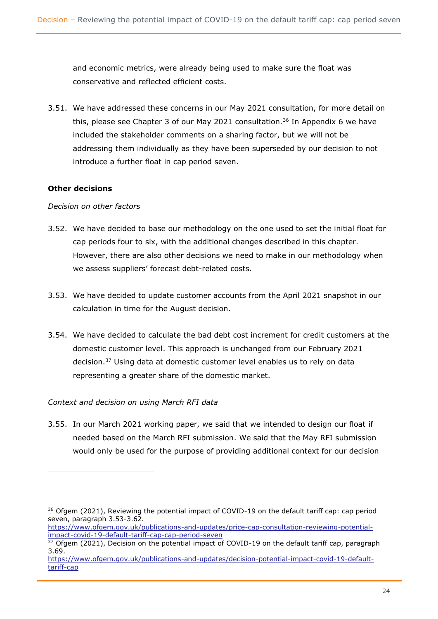and economic metrics, were already being used to make sure the float was conservative and reflected efficient costs.

3.51. We have addressed these concerns in our May 2021 consultation, for more detail on this, please see Chapter 3 of our May 2021 consultation.<sup>36</sup> In Appendix 6 we have included the stakeholder comments on a sharing factor, but we will not be addressing them individually as they have been superseded by our decision to not introduce a further float in cap period seven.

### **Other decisions**

#### *Decision on other factors*

- 3.52. We have decided to base our methodology on the one used to set the initial float for cap periods four to six, with the additional changes described in this chapter. However, there are also other decisions we need to make in our methodology when we assess suppliers' forecast debt-related costs.
- 3.53. We have decided to update customer accounts from the April 2021 snapshot in our calculation in time for the August decision.
- 3.54. We have decided to calculate the bad debt cost increment for credit customers at the domestic customer level. This approach is unchanged from our February 2021 decision.<sup>37</sup> Using data at domestic customer level enables us to rely on data representing a greater share of the domestic market.

### *Context and decision on using March RFI data*

3.55. In our March 2021 working paper, we said that we intended to design our float if needed based on the March RFI submission. We said that the May RFI submission would only be used for the purpose of providing additional context for our decision

<sup>&</sup>lt;sup>36</sup> Ofgem (2021), Reviewing the potential impact of COVID-19 on the default tariff cap: cap period seven, paragraph 3.53-3.62.

[https://www.ofgem.gov.uk/publications-and-updates/price-cap-consultation-reviewing-potential](https://www.ofgem.gov.uk/publications-and-updates/price-cap-consultation-reviewing-potential-impact-covid-19-default-tariff-cap-cap-period-seven)[impact-covid-19-default-tariff-cap-cap-period-seven](https://www.ofgem.gov.uk/publications-and-updates/price-cap-consultation-reviewing-potential-impact-covid-19-default-tariff-cap-cap-period-seven)

 $37$  Ofgem (2021), Decision on the potential impact of COVID-19 on the default tariff cap, paragraph 3.69.

[https://www.ofgem.gov.uk/publications-and-updates/decision-potential-impact-covid-19-default](https://www.ofgem.gov.uk/publications-and-updates/decision-potential-impact-covid-19-default-tariff-cap)[tariff-cap](https://www.ofgem.gov.uk/publications-and-updates/decision-potential-impact-covid-19-default-tariff-cap)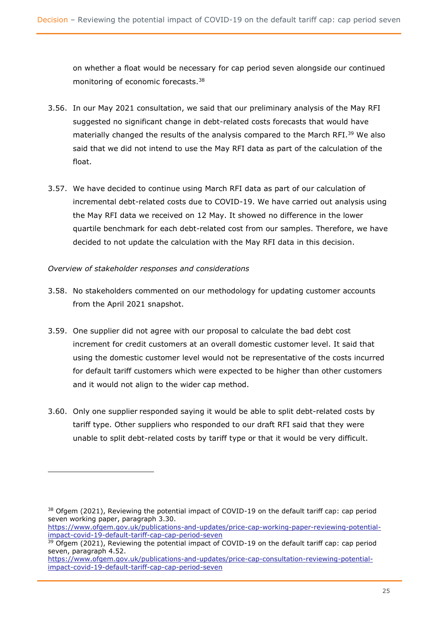on whether a float would be necessary for cap period seven alongside our continued monitoring of economic forecasts. 38

- 3.56. In our May 2021 consultation, we said that our preliminary analysis of the May RFI suggested no significant change in debt-related costs forecasts that would have materially changed the results of the analysis compared to the March RFI.<sup>39</sup> We also said that we did not intend to use the May RFI data as part of the calculation of the float.
- 3.57. We have decided to continue using March RFI data as part of our calculation of incremental debt-related costs due to COVID-19. We have carried out analysis using the May RFI data we received on 12 May. It showed no difference in the lower quartile benchmark for each debt-related cost from our samples. Therefore, we have decided to not update the calculation with the May RFI data in this decision.

### *Overview of stakeholder responses and considerations*

- 3.58. No stakeholders commented on our methodology for updating customer accounts from the April 2021 snapshot.
- 3.59. One supplier did not agree with our proposal to calculate the bad debt cost increment for credit customers at an overall domestic customer level. It said that using the domestic customer level would not be representative of the costs incurred for default tariff customers which were expected to be higher than other customers and it would not align to the wider cap method.
- 3.60. Only one supplier responded saying it would be able to split debt-related costs by tariff type. Other suppliers who responded to our draft RFI said that they were unable to split debt-related costs by tariff type or that it would be very difficult.

[https://www.ofgem.gov.uk/publications-and-updates/price-cap-working-paper-reviewing-potential](https://www.ofgem.gov.uk/publications-and-updates/price-cap-working-paper-reviewing-potential-impact-covid-19-default-tariff-cap-cap-period-seven)[impact-covid-19-default-tariff-cap-cap-period-seven](https://www.ofgem.gov.uk/publications-and-updates/price-cap-working-paper-reviewing-potential-impact-covid-19-default-tariff-cap-cap-period-seven)

<sup>&</sup>lt;sup>38</sup> Ofgem (2021), Reviewing the potential impact of COVID-19 on the default tariff cap: cap period seven working paper, paragraph 3.30.

<sup>&</sup>lt;sup>39</sup> Ofgem (2021), Reviewing the potential impact of COVID-19 on the default tariff cap: cap period seven, paragraph 4.52.

[https://www.ofgem.gov.uk/publications-and-updates/price-cap-consultation-reviewing-potential](https://www.ofgem.gov.uk/publications-and-updates/price-cap-consultation-reviewing-potential-impact-covid-19-default-tariff-cap-cap-period-seven)[impact-covid-19-default-tariff-cap-cap-period-seven](https://www.ofgem.gov.uk/publications-and-updates/price-cap-consultation-reviewing-potential-impact-covid-19-default-tariff-cap-cap-period-seven)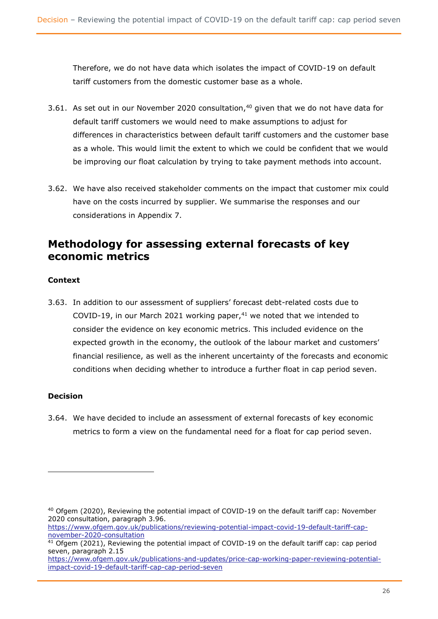Therefore, we do not have data which isolates the impact of COVID-19 on default tariff customers from the domestic customer base as a whole.

- 3.61. As set out in our November 2020 consultation, $40$  given that we do not have data for default tariff customers we would need to make assumptions to adjust for differences in characteristics between default tariff customers and the customer base as a whole. This would limit the extent to which we could be confident that we would be improving our float calculation by trying to take payment methods into account.
- 3.62. We have also received stakeholder comments on the impact that customer mix could have on the costs incurred by supplier. We summarise the responses and our considerations in Appendix 7.

# <span id="page-26-0"></span>**Methodology for assessing external forecasts of key economic metrics**

### **Context**

3.63. In addition to our assessment of suppliers' forecast debt-related costs due to COVID-19, in our March 2021 working paper, $41$  we noted that we intended to consider the evidence on key economic metrics. This included evidence on the expected growth in the economy, the outlook of the labour market and customers' financial resilience, as well as the inherent uncertainty of the forecasts and economic conditions when deciding whether to introduce a further float in cap period seven.

### **Decision**

3.64. We have decided to include an assessment of external forecasts of key economic metrics to form a view on the fundamental need for a float for cap period seven.

<sup>40</sup> Ofgem (2020), Reviewing the potential impact of COVID-19 on the default tariff cap: November 2020 consultation, paragraph 3.96.

https://www.ofgem.gov.uk/publications/reviewing-potential-impact-covid-19-default-tariff-capnovember-2020-consultation

<sup>&</sup>lt;sup>41</sup> Ofgem (2021), Reviewing the potential impact of COVID-19 on the default tariff cap: cap period seven, paragraph 2.15

[https://www.ofgem.gov.uk/publications-and-updates/price-cap-working-paper-reviewing-potential](https://www.ofgem.gov.uk/publications-and-updates/price-cap-working-paper-reviewing-potential-impact-covid-19-default-tariff-cap-cap-period-seven)[impact-covid-19-default-tariff-cap-cap-period-seven](https://www.ofgem.gov.uk/publications-and-updates/price-cap-working-paper-reviewing-potential-impact-covid-19-default-tariff-cap-cap-period-seven)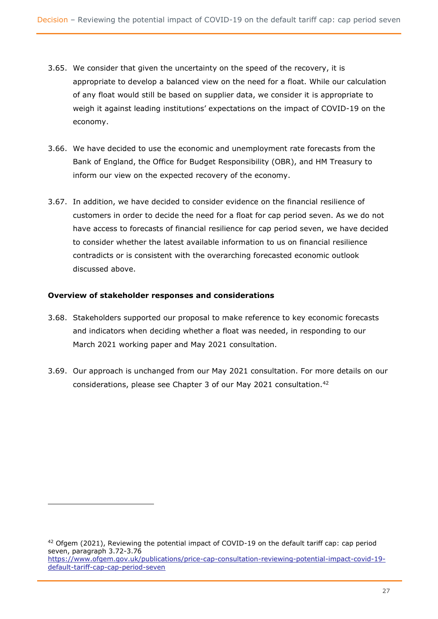- 3.65. We consider that given the uncertainty on the speed of the recovery, it is appropriate to develop a balanced view on the need for a float. While our calculation of any float would still be based on supplier data, we consider it is appropriate to weigh it against leading institutions' expectations on the impact of COVID-19 on the economy.
- 3.66. We have decided to use the economic and unemployment rate forecasts from the Bank of England, the Office for Budget Responsibility (OBR), and HM Treasury to inform our view on the expected recovery of the economy.
- 3.67. In addition, we have decided to consider evidence on the financial resilience of customers in order to decide the need for a float for cap period seven. As we do not have access to forecasts of financial resilience for cap period seven, we have decided to consider whether the latest available information to us on financial resilience contradicts or is consistent with the overarching forecasted economic outlook discussed above.

### **Overview of stakeholder responses and considerations**

- 3.68. Stakeholders supported our proposal to make reference to key economic forecasts and indicators when deciding whether a float was needed, in responding to our March 2021 working paper and May 2021 consultation.
- 3.69. Our approach is unchanged from our May 2021 consultation. For more details on our considerations, please see Chapter 3 of our May 2021 consultation.<sup>42</sup>

 $42$  Ofgem (2021), Reviewing the potential impact of COVID-19 on the default tariff cap: cap period seven, paragraph 3.72-3.76 [https://www.ofgem.gov.uk/publications/price-cap-consultation-reviewing-potential-impact-covid-19](https://www.ofgem.gov.uk/publications/price-cap-consultation-reviewing-potential-impact-covid-19-default-tariff-cap-cap-period-seven) [default-tariff-cap-cap-period-seven](https://www.ofgem.gov.uk/publications/price-cap-consultation-reviewing-potential-impact-covid-19-default-tariff-cap-cap-period-seven)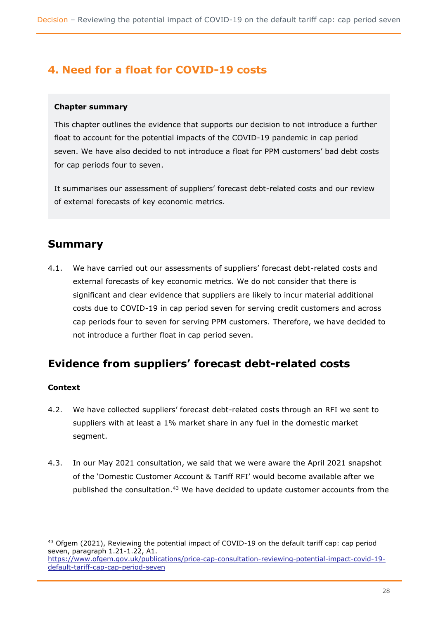# <span id="page-28-0"></span>**4. Need for a float for COVID-19 costs**

#### **Chapter summary**

This chapter outlines the evidence that supports our decision to not introduce a further float to account for the potential impacts of the COVID-19 pandemic in cap period seven. We have also decided to not introduce a float for PPM customers' bad debt costs for cap periods four to seven.

It summarises our assessment of suppliers' forecast debt-related costs and our review of external forecasts of key economic metrics.

# <span id="page-28-1"></span>**Summary**

4.1. We have carried out our assessments of suppliers' forecast debt-related costs and external forecasts of key economic metrics. We do not consider that there is significant and clear evidence that suppliers are likely to incur material additional costs due to COVID-19 in cap period seven for serving credit customers and across cap periods four to seven for serving PPM customers. Therefore, we have decided to not introduce a further float in cap period seven.

# <span id="page-28-2"></span>**Evidence from suppliers' forecast debt-related costs**

### **Context**

- 4.2. We have collected suppliers' forecast debt-related costs through an RFI we sent to suppliers with at least a 1% market share in any fuel in the domestic market segment.
- 4.3. In our May 2021 consultation, we said that we were aware the April 2021 snapshot of the 'Domestic Customer Account & Tariff RFI' would become available after we published the consultation.<sup>43</sup> We have decided to update customer accounts from the

 $43$  Ofgem (2021), Reviewing the potential impact of COVID-19 on the default tariff cap: cap period seven, paragraph 1.21-1.22, A1. [https://www.ofgem.gov.uk/publications/price-cap-consultation-reviewing-potential-impact-covid-19-](https://www.ofgem.gov.uk/publications/price-cap-consultation-reviewing-potential-impact-covid-19-default-tariff-cap-cap-period-seven)

[default-tariff-cap-cap-period-seven](https://www.ofgem.gov.uk/publications/price-cap-consultation-reviewing-potential-impact-covid-19-default-tariff-cap-cap-period-seven)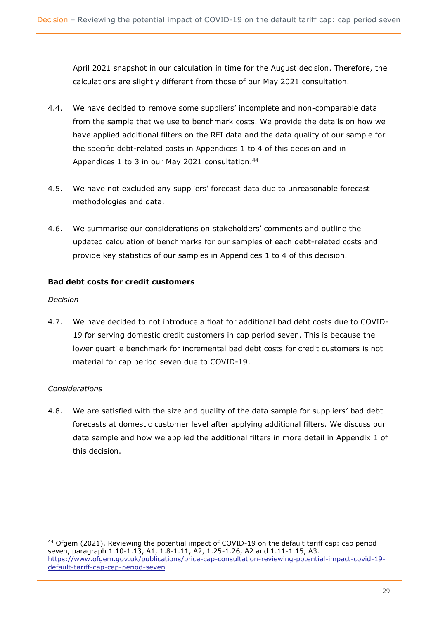April 2021 snapshot in our calculation in time for the August decision. Therefore, the calculations are slightly different from those of our May 2021 consultation.

- 4.4. We have decided to remove some suppliers' incomplete and non-comparable data from the sample that we use to benchmark costs. We provide the details on how we have applied additional filters on the RFI data and the data quality of our sample for the specific debt-related costs in Appendices 1 to 4 of this decision and in Appendices 1 to 3 in our May 2021 consultation.<sup>44</sup>
- 4.5. We have not excluded any suppliers' forecast data due to unreasonable forecast methodologies and data.
- 4.6. We summarise our considerations on stakeholders' comments and outline the updated calculation of benchmarks for our samples of each debt-related costs and provide key statistics of our samples in Appendices 1 to 4 of this decision.

### **Bad debt costs for credit customers**

#### *Decision*

4.7. We have decided to not introduce a float for additional bad debt costs due to COVID-19 for serving domestic credit customers in cap period seven. This is because the lower quartile benchmark for incremental bad debt costs for credit customers is not material for cap period seven due to COVID-19.

### *Considerations*

4.8. We are satisfied with the size and quality of the data sample for suppliers' bad debt forecasts at domestic customer level after applying additional filters. We discuss our data sample and how we applied the additional filters in more detail in Appendix 1 of this decision.

<sup>44</sup> Ofgem (2021), Reviewing the potential impact of COVID-19 on the default tariff cap: cap period seven, paragraph 1.10-1.13, A1, 1.8-1.11, A2, 1.25-1.26, A2 and 1.11-1.15, A3. [https://www.ofgem.gov.uk/publications/price-cap-consultation-reviewing-potential-impact-covid-19](https://www.ofgem.gov.uk/publications/price-cap-consultation-reviewing-potential-impact-covid-19-default-tariff-cap-cap-period-seven) [default-tariff-cap-cap-period-seven](https://www.ofgem.gov.uk/publications/price-cap-consultation-reviewing-potential-impact-covid-19-default-tariff-cap-cap-period-seven)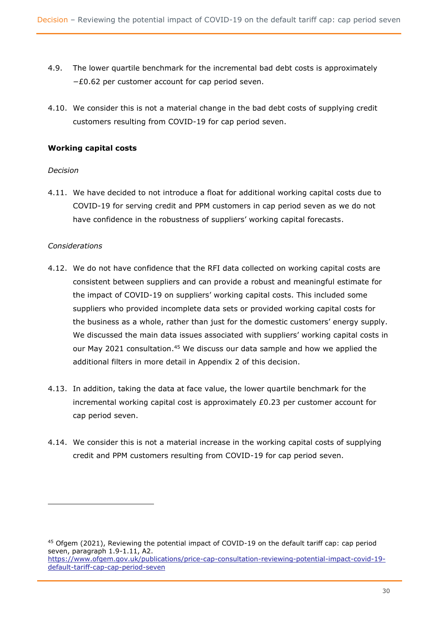- 4.9. The lower quartile benchmark for the incremental bad debt costs is approximately −£0.62 per customer account for cap period seven.
- 4.10. We consider this is not a material change in the bad debt costs of supplying credit customers resulting from COVID-19 for cap period seven.

### **Working capital costs**

#### *Decision*

4.11. We have decided to not introduce a float for additional working capital costs due to COVID-19 for serving credit and PPM customers in cap period seven as we do not have confidence in the robustness of suppliers' working capital forecasts.

#### *Considerations*

- 4.12. We do not have confidence that the RFI data collected on working capital costs are consistent between suppliers and can provide a robust and meaningful estimate for the impact of COVID-19 on suppliers' working capital costs. This included some suppliers who provided incomplete data sets or provided working capital costs for the business as a whole, rather than just for the domestic customers' energy supply. We discussed the main data issues associated with suppliers' working capital costs in our May 2021 consultation. <sup>45</sup> We discuss our data sample and how we applied the additional filters in more detail in Appendix 2 of this decision.
- 4.13. In addition, taking the data at face value, the lower quartile benchmark for the incremental working capital cost is approximately £0.23 per customer account for cap period seven.
- 4.14. We consider this is not a material increase in the working capital costs of supplying credit and PPM customers resulting from COVID-19 for cap period seven.

<sup>45</sup> Ofgem (2021), Reviewing the potential impact of COVID-19 on the default tariff cap: cap period seven, paragraph 1.9-1.11, A2. [https://www.ofgem.gov.uk/publications/price-cap-consultation-reviewing-potential-impact-covid-19](https://www.ofgem.gov.uk/publications/price-cap-consultation-reviewing-potential-impact-covid-19-default-tariff-cap-cap-period-seven) [default-tariff-cap-cap-period-seven](https://www.ofgem.gov.uk/publications/price-cap-consultation-reviewing-potential-impact-covid-19-default-tariff-cap-cap-period-seven)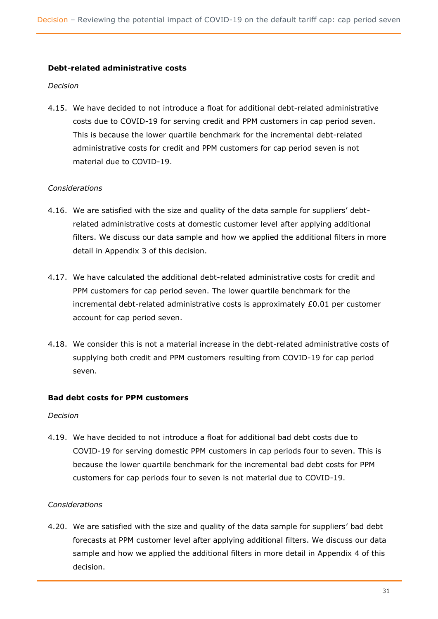#### **Debt-related administrative costs**

#### *Decision*

4.15. We have decided to not introduce a float for additional debt-related administrative costs due to COVID-19 for serving credit and PPM customers in cap period seven. This is because the lower quartile benchmark for the incremental debt-related administrative costs for credit and PPM customers for cap period seven is not material due to COVID-19.

### *Considerations*

- 4.16. We are satisfied with the size and quality of the data sample for suppliers' debtrelated administrative costs at domestic customer level after applying additional filters. We discuss our data sample and how we applied the additional filters in more detail in Appendix 3 of this decision.
- 4.17. We have calculated the additional debt-related administrative costs for credit and PPM customers for cap period seven. The lower quartile benchmark for the incremental debt-related administrative costs is approximately £0.01 per customer account for cap period seven.
- 4.18. We consider this is not a material increase in the debt-related administrative costs of supplying both credit and PPM customers resulting from COVID-19 for cap period seven.

#### **Bad debt costs for PPM customers**

#### *Decision*

4.19. We have decided to not introduce a float for additional bad debt costs due to COVID-19 for serving domestic PPM customers in cap periods four to seven. This is because the lower quartile benchmark for the incremental bad debt costs for PPM customers for cap periods four to seven is not material due to COVID-19.

### *Considerations*

4.20. We are satisfied with the size and quality of the data sample for suppliers' bad debt forecasts at PPM customer level after applying additional filters. We discuss our data sample and how we applied the additional filters in more detail in Appendix 4 of this decision.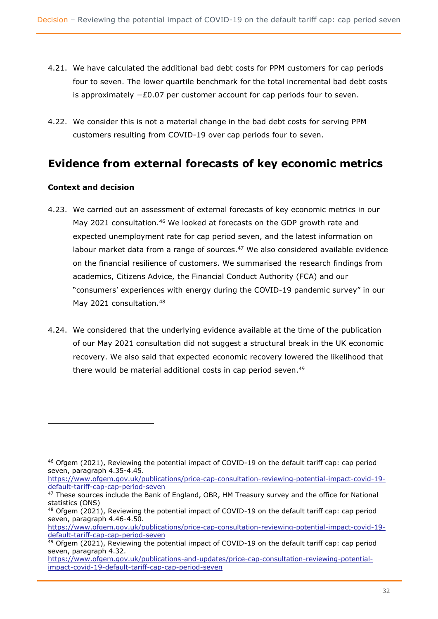- 4.21. We have calculated the additional bad debt costs for PPM customers for cap periods four to seven. The lower quartile benchmark for the total incremental bad debt costs is approximately  $-E0.07$  per customer account for cap periods four to seven.
- 4.22. We consider this is not a material change in the bad debt costs for serving PPM customers resulting from COVID-19 over cap periods four to seven.

# <span id="page-32-0"></span>**Evidence from external forecasts of key economic metrics**

### **Context and decision**

- 4.23. We carried out an assessment of external forecasts of key economic metrics in our May 2021 consultation.<sup>46</sup> We looked at forecasts on the GDP growth rate and expected unemployment rate for cap period seven, and the latest information on labour market data from a range of sources. $47$  We also considered available evidence on the financial resilience of customers. We summarised the research findings from academics, Citizens Advice, the Financial Conduct Authority (FCA) and our "consumers' experiences with energy during the COVID-19 pandemic survey" in our May 2021 consultation.<sup>48</sup>
- 4.24. We considered that the underlying evidence available at the time of the publication of our May 2021 consultation did not suggest a structural break in the UK economic recovery. We also said that expected economic recovery lowered the likelihood that there would be material additional costs in cap period seven.<sup>49</sup>

[https://www.ofgem.gov.uk/publications/price-cap-consultation-reviewing-potential-impact-covid-19](https://www.ofgem.gov.uk/publications/price-cap-consultation-reviewing-potential-impact-covid-19-default-tariff-cap-cap-period-seven) [default-tariff-cap-cap-period-seven](https://www.ofgem.gov.uk/publications/price-cap-consultation-reviewing-potential-impact-covid-19-default-tariff-cap-cap-period-seven)

<sup>46</sup> Ofgem (2021), Reviewing the potential impact of COVID-19 on the default tariff cap: cap period seven, paragraph 4.35-4.45.

 $47$  These sources include the Bank of England, OBR, HM Treasury survey and the office for National statistics (ONS)

 $48$  Ofgem (2021), Reviewing the potential impact of COVID-19 on the default tariff cap: cap period seven, paragraph 4.46-4.50.

[https://www.ofgem.gov.uk/publications/price-cap-consultation-reviewing-potential-impact-covid-19](https://www.ofgem.gov.uk/publications/price-cap-consultation-reviewing-potential-impact-covid-19-default-tariff-cap-cap-period-seven) [default-tariff-cap-cap-period-seven](https://www.ofgem.gov.uk/publications/price-cap-consultation-reviewing-potential-impact-covid-19-default-tariff-cap-cap-period-seven)

<sup>&</sup>lt;sup>49</sup> Ofgem (2021), Reviewing the potential impact of COVID-19 on the default tariff cap: cap period seven, paragraph 4.32.

[https://www.ofgem.gov.uk/publications-and-updates/price-cap-consultation-reviewing-potential](https://www.ofgem.gov.uk/publications-and-updates/price-cap-consultation-reviewing-potential-impact-covid-19-default-tariff-cap-cap-period-seven)[impact-covid-19-default-tariff-cap-cap-period-seven](https://www.ofgem.gov.uk/publications-and-updates/price-cap-consultation-reviewing-potential-impact-covid-19-default-tariff-cap-cap-period-seven)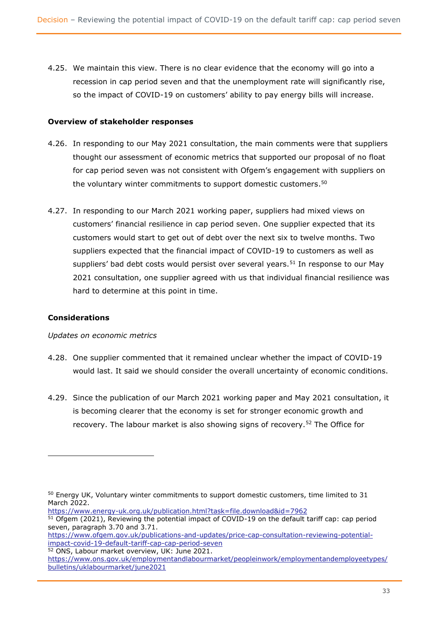4.25. We maintain this view. There is no clear evidence that the economy will go into a recession in cap period seven and that the unemployment rate will significantly rise, so the impact of COVID-19 on customers' ability to pay energy bills will increase.

#### **Overview of stakeholder responses**

- 4.26. In responding to our May 2021 consultation, the main comments were that suppliers thought our assessment of economic metrics that supported our proposal of no float for cap period seven was not consistent with Ofgem's engagement with suppliers on the voluntary winter commitments to support domestic customers.<sup>50</sup>
- 4.27. In responding to our March 2021 working paper, suppliers had mixed views on customers' financial resilience in cap period seven. One supplier expected that its customers would start to get out of debt over the next six to twelve months. Two suppliers expected that the financial impact of COVID-19 to customers as well as suppliers' bad debt costs would persist over several years.<sup>51</sup> In response to our May 2021 consultation, one supplier agreed with us that individual financial resilience was hard to determine at this point in time.

### **Considerations**

*Updates on economic metrics*

- 4.28. One supplier commented that it remained unclear whether the impact of COVID-19 would last. It said we should consider the overall uncertainty of economic conditions.
- 4.29. Since the publication of our March 2021 working paper and May 2021 consultation, it is becoming clearer that the economy is set for stronger economic growth and recovery. The labour market is also showing signs of recovery.<sup>52</sup> The Office for

<sup>52</sup> ONS, Labour market overview, UK: June 2021.

 $50$  Energy UK, Voluntary winter commitments to support domestic customers, time limited to 31 March 2022.

<https://www.energy-uk.org.uk/publication.html?task=file.download&id=7962>

<sup>&</sup>lt;sup>51</sup> Ofgem (2021), Reviewing the potential impact of COVID-19 on the default tariff cap: cap period seven, paragraph 3.70 and 3.71.

[https://www.ofgem.gov.uk/publications-and-updates/price-cap-consultation-reviewing-potential](https://www.ofgem.gov.uk/publications-and-updates/price-cap-consultation-reviewing-potential-impact-covid-19-default-tariff-cap-cap-period-seven)[impact-covid-19-default-tariff-cap-cap-period-seven](https://www.ofgem.gov.uk/publications-and-updates/price-cap-consultation-reviewing-potential-impact-covid-19-default-tariff-cap-cap-period-seven)

[https://www.ons.gov.uk/employmentandlabourmarket/peopleinwork/employmentandemployeetypes/](https://www.ons.gov.uk/employmentandlabourmarket/peopleinwork/employmentandemployeetypes/bulletins/uklabourmarket/june2021) [bulletins/uklabourmarket/june2021](https://www.ons.gov.uk/employmentandlabourmarket/peopleinwork/employmentandemployeetypes/bulletins/uklabourmarket/june2021)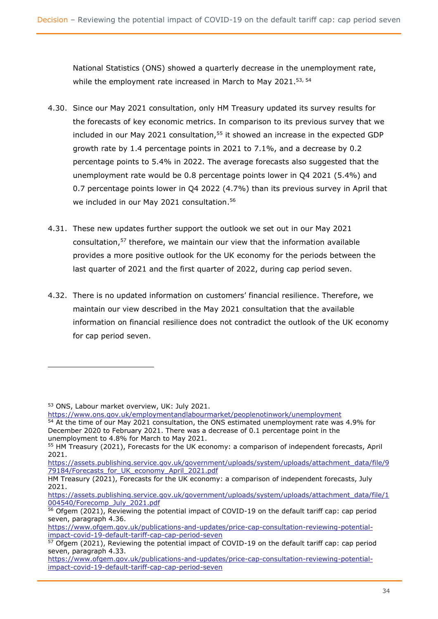National Statistics (ONS) showed a quarterly decrease in the unemployment rate, while the employment rate increased in March to May 2021.<sup>53, 54</sup>

- 4.30. Since our May 2021 consultation, only HM Treasury updated its survey results for the forecasts of key economic metrics. In comparison to its previous survey that we included in our May 2021 consultation, $55$  it showed an increase in the expected GDP growth rate by 1.4 percentage points in 2021 to 7.1%, and a decrease by 0.2 percentage points to 5.4% in 2022. The average forecasts also suggested that the unemployment rate would be 0.8 percentage points lower in Q4 2021 (5.4%) and 0.7 percentage points lower in Q4 2022 (4.7%) than its previous survey in April that we included in our May 2021 consultation.<sup>56</sup>
- 4.31. These new updates further support the outlook we set out in our May 2021 consultation, <sup>57</sup> therefore, we maintain our view that the information available provides a more positive outlook for the UK economy for the periods between the last quarter of 2021 and the first quarter of 2022, during cap period seven.
- 4.32. There is no updated information on customers' financial resilience. Therefore, we maintain our view described in the May 2021 consultation that the available information on financial resilience does not contradict the outlook of the UK economy for cap period seven.

<sup>53</sup> ONS, Labour market overview, UK: July 2021.

<https://www.ons.gov.uk/employmentandlabourmarket/peoplenotinwork/unemployment>

<sup>&</sup>lt;sup>54</sup> At the time of our May 2021 consultation, the ONS estimated unemployment rate was 4.9% for December 2020 to February 2021. There was a decrease of 0.1 percentage point in the unemployment to 4.8% for March to May 2021.

<sup>55</sup> HM Treasury (2021), Forecasts for the UK economy: a comparison of independent forecasts, April 2021.

[https://assets.publishing.service.gov.uk/government/uploads/system/uploads/attachment\\_data/file/9](https://assets.publishing.service.gov.uk/government/uploads/system/uploads/attachment_data/file/979184/Forecasts_for_UK_economy_April_2021.pdf) [79184/Forecasts\\_for\\_UK\\_economy\\_April\\_2021.pdf](https://assets.publishing.service.gov.uk/government/uploads/system/uploads/attachment_data/file/979184/Forecasts_for_UK_economy_April_2021.pdf)

HM Treasury (2021), Forecasts for the UK economy: a comparison of independent forecasts, July 2021.

[https://assets.publishing.service.gov.uk/government/uploads/system/uploads/attachment\\_data/file/1](https://assets.publishing.service.gov.uk/government/uploads/system/uploads/attachment_data/file/1004540/Forecomp_July_2021.pdf) [004540/Forecomp\\_July\\_2021.pdf](https://assets.publishing.service.gov.uk/government/uploads/system/uploads/attachment_data/file/1004540/Forecomp_July_2021.pdf)

 $\frac{1}{56}$  Ofgem (2021), Reviewing the potential impact of COVID-19 on the default tariff cap: cap period seven, paragraph 4.36.

[https://www.ofgem.gov.uk/publications-and-updates/price-cap-consultation-reviewing-potential](https://www.ofgem.gov.uk/publications-and-updates/price-cap-consultation-reviewing-potential-impact-covid-19-default-tariff-cap-cap-period-seven)[impact-covid-19-default-tariff-cap-cap-period-seven](https://www.ofgem.gov.uk/publications-and-updates/price-cap-consultation-reviewing-potential-impact-covid-19-default-tariff-cap-cap-period-seven)

<sup>&</sup>lt;sup>57</sup> Ofgem (2021), Reviewing the potential impact of COVID-19 on the default tariff cap: cap period seven, paragraph 4.33.

[https://www.ofgem.gov.uk/publications-and-updates/price-cap-consultation-reviewing-potential](https://www.ofgem.gov.uk/publications-and-updates/price-cap-consultation-reviewing-potential-impact-covid-19-default-tariff-cap-cap-period-seven)[impact-covid-19-default-tariff-cap-cap-period-seven](https://www.ofgem.gov.uk/publications-and-updates/price-cap-consultation-reviewing-potential-impact-covid-19-default-tariff-cap-cap-period-seven)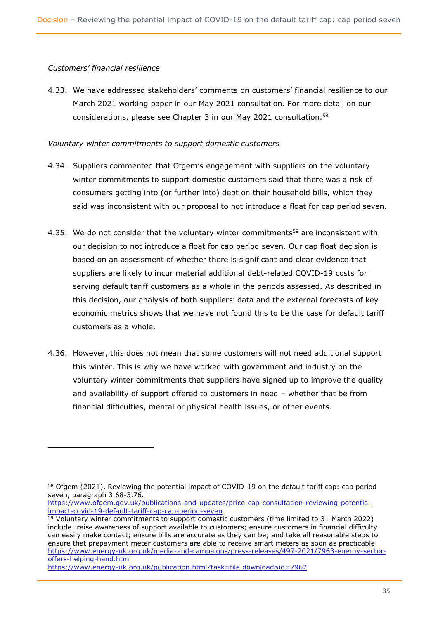#### *Customers' financial resilience*

4.33. We have addressed stakeholders' comments on customers' financial resilience to our March 2021 working paper in our May 2021 consultation. For more detail on our considerations, please see Chapter 3 in our May 2021 consultation.<sup>58</sup>

#### *Voluntary winter commitments to support domestic customers*

- 4.34. Suppliers commented that Ofgem's engagement with suppliers on the voluntary winter commitments to support domestic customers said that there was a risk of consumers getting into (or further into) debt on their household bills, which they said was inconsistent with our proposal to not introduce a float for cap period seven.
- 4.35. We do not consider that the voluntary winter commitments<sup>59</sup> are inconsistent with our decision to not introduce a float for cap period seven. Our cap float decision is based on an assessment of whether there is significant and clear evidence that suppliers are likely to incur material additional debt-related COVID-19 costs for serving default tariff customers as a whole in the periods assessed. As described in this decision, our analysis of both suppliers' data and the external forecasts of key economic metrics shows that we have not found this to be the case for default tariff customers as a whole.
- 4.36. However, this does not mean that some customers will not need additional support this winter. This is why we have worked with government and industry on the voluntary winter commitments that suppliers have signed up to improve the quality and availability of support offered to customers in need – whether that be from financial difficulties, mental or physical health issues, or other events.

<sup>&</sup>lt;sup>58</sup> Ofgem (2021), Reviewing the potential impact of COVID-19 on the default tariff cap: cap period seven, paragraph 3.68-3.76.

[https://www.ofgem.gov.uk/publications-and-updates/price-cap-consultation-reviewing-potential](https://www.ofgem.gov.uk/publications-and-updates/price-cap-consultation-reviewing-potential-impact-covid-19-default-tariff-cap-cap-period-seven)[impact-covid-19-default-tariff-cap-cap-period-seven](https://www.ofgem.gov.uk/publications-and-updates/price-cap-consultation-reviewing-potential-impact-covid-19-default-tariff-cap-cap-period-seven)

<sup>&</sup>lt;sup>59</sup> Voluntary winter commitments to support domestic customers (time limited to 31 March 2022) include: raise awareness of support available to customers; ensure customers in financial difficulty can easily make contact; ensure bills are accurate as they can be; and take all reasonable steps to ensure that prepayment meter customers are able to receive smart meters as soon as practicable. [https://www.energy-uk.org.uk/media-and-campaigns/press-releases/497-2021/7963-energy-sector](https://www.energy-uk.org.uk/media-and-campaigns/press-releases/497-2021/7963-energy-sector-offers-helping-hand.html)[offers-helping-hand.html](https://www.energy-uk.org.uk/media-and-campaigns/press-releases/497-2021/7963-energy-sector-offers-helping-hand.html)

<https://www.energy-uk.org.uk/publication.html?task=file.download&id=7962>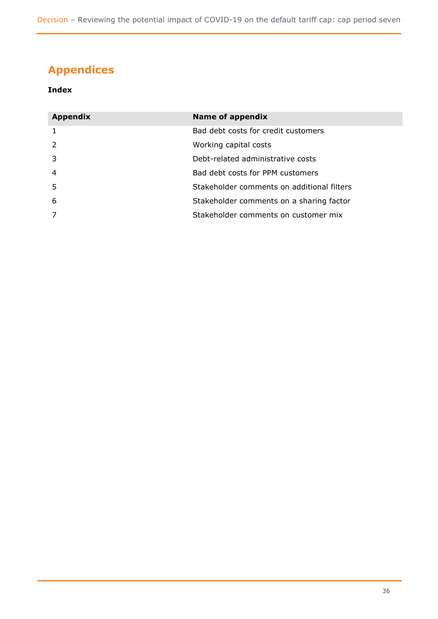# <span id="page-36-0"></span>**Appendices**

### **Index**

| <b>Appendix</b> | <b>Name of appendix</b>                    |  |  |
|-----------------|--------------------------------------------|--|--|
| 1               | Bad debt costs for credit customers        |  |  |
| $\mathcal{P}$   | Working capital costs                      |  |  |
| 3               | Debt-related administrative costs          |  |  |
| $\overline{4}$  | Bad debt costs for PPM customers           |  |  |
| 5               | Stakeholder comments on additional filters |  |  |
| 6               | Stakeholder comments on a sharing factor   |  |  |
| 7               | Stakeholder comments on customer mix       |  |  |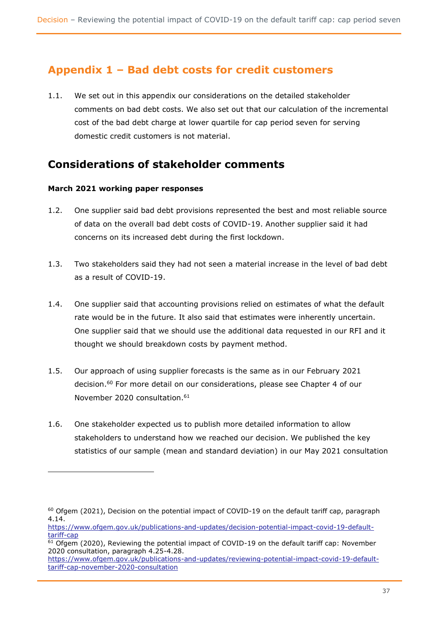# **Appendix 1 – Bad debt costs for credit customers**

1.1. We set out in this appendix our considerations on the detailed stakeholder comments on bad debt costs. We also set out that our calculation of the incremental cost of the bad debt charge at lower quartile for cap period seven for serving domestic credit customers is not material.

# **Considerations of stakeholder comments**

### **March 2021 working paper responses**

- 1.2. One supplier said bad debt provisions represented the best and most reliable source of data on the overall bad debt costs of COVID-19. Another supplier said it had concerns on its increased debt during the first lockdown.
- 1.3. Two stakeholders said they had not seen a material increase in the level of bad debt as a result of COVID-19.
- 1.4. One supplier said that accounting provisions relied on estimates of what the default rate would be in the future. It also said that estimates were inherently uncertain. One supplier said that we should use the additional data requested in our RFI and it thought we should breakdown costs by payment method.
- 1.5. Our approach of using supplier forecasts is the same as in our February 2021 decision.<sup>60</sup> For more detail on our considerations, please see Chapter 4 of our November 2020 consultation.<sup>61</sup>
- 1.6. One stakeholder expected us to publish more detailed information to allow stakeholders to understand how we reached our decision. We published the key statistics of our sample (mean and standard deviation) in our May 2021 consultation

 $60$  Ofgem (2021), Decision on the potential impact of COVID-19 on the default tariff cap, paragraph 4.14.

[https://www.ofgem.gov.uk/publications-and-updates/decision-potential-impact-covid-19-default](https://www.ofgem.gov.uk/publications-and-updates/decision-potential-impact-covid-19-default-tariff-cap)[tariff-cap](https://www.ofgem.gov.uk/publications-and-updates/decision-potential-impact-covid-19-default-tariff-cap)

 $61$  Ofgem (2020), Reviewing the potential impact of COVID-19 on the default tariff cap: November 2020 consultation, paragraph 4.25-4.28.

[https://www.ofgem.gov.uk/publications-and-updates/reviewing-potential-impact-covid-19-default](https://www.ofgem.gov.uk/publications-and-updates/reviewing-potential-impact-covid-19-default-tariff-cap-november-2020-consultation)[tariff-cap-november-2020-consultation](https://www.ofgem.gov.uk/publications-and-updates/reviewing-potential-impact-covid-19-default-tariff-cap-november-2020-consultation)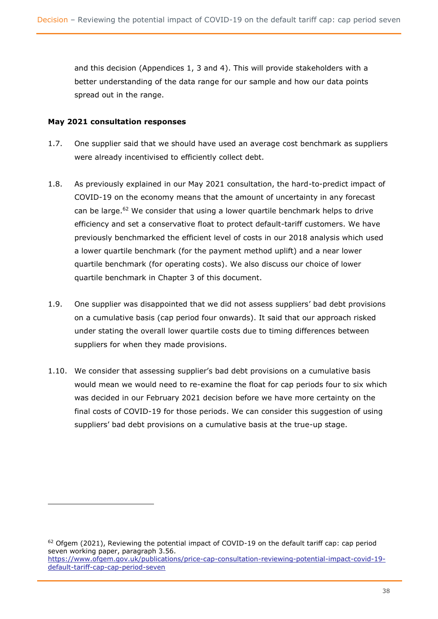and this decision (Appendices 1, 3 and 4). This will provide stakeholders with a better understanding of the data range for our sample and how our data points spread out in the range.

#### **May 2021 consultation responses**

- 1.7. One supplier said that we should have used an average cost benchmark as suppliers were already incentivised to efficiently collect debt.
- 1.8. As previously explained in our May 2021 consultation, the hard-to-predict impact of COVID-19 on the economy means that the amount of uncertainty in any forecast can be large.<sup>62</sup> We consider that using a lower quartile benchmark helps to drive efficiency and set a conservative float to protect default-tariff customers. We have previously benchmarked the efficient level of costs in our 2018 analysis which used a lower quartile benchmark (for the payment method uplift) and a near lower quartile benchmark (for operating costs). We also discuss our choice of lower quartile benchmark in Chapter 3 of this document.
- 1.9. One supplier was disappointed that we did not assess suppliers' bad debt provisions on a cumulative basis (cap period four onwards). It said that our approach risked under stating the overall lower quartile costs due to timing differences between suppliers for when they made provisions.
- 1.10. We consider that assessing supplier's bad debt provisions on a cumulative basis would mean we would need to re-examine the float for cap periods four to six which was decided in our February 2021 decision before we have more certainty on the final costs of COVID-19 for those periods. We can consider this suggestion of using suppliers' bad debt provisions on a cumulative basis at the true-up stage.

 $62$  Ofgem (2021), Reviewing the potential impact of COVID-19 on the default tariff cap: cap period seven working paper, paragraph 3.56. [https://www.ofgem.gov.uk/publications/price-cap-consultation-reviewing-potential-impact-covid-19-](https://www.ofgem.gov.uk/publications/price-cap-consultation-reviewing-potential-impact-covid-19-default-tariff-cap-cap-period-seven)

[default-tariff-cap-cap-period-seven](https://www.ofgem.gov.uk/publications/price-cap-consultation-reviewing-potential-impact-covid-19-default-tariff-cap-cap-period-seven)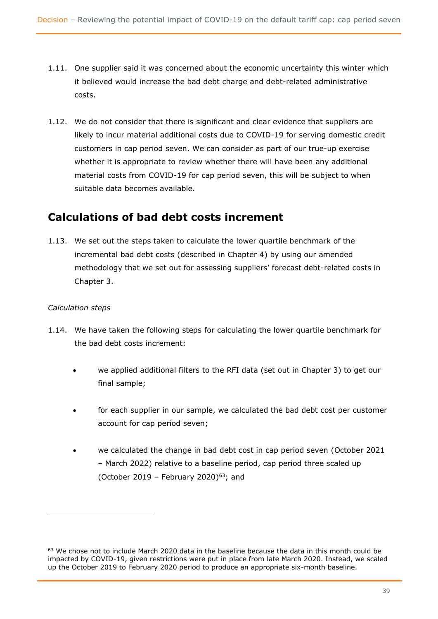- 1.11. One supplier said it was concerned about the economic uncertainty this winter which it believed would increase the bad debt charge and debt-related administrative costs.
- 1.12. We do not consider that there is significant and clear evidence that suppliers are likely to incur material additional costs due to COVID-19 for serving domestic credit customers in cap period seven. We can consider as part of our true-up exercise whether it is appropriate to review whether there will have been any additional material costs from COVID-19 for cap period seven, this will be subject to when suitable data becomes available.

# **Calculations of bad debt costs increment**

1.13. We set out the steps taken to calculate the lower quartile benchmark of the incremental bad debt costs (described in Chapter 4) by using our amended methodology that we set out for assessing suppliers' forecast debt-related costs in Chapter 3.

### *Calculation steps*

- 1.14. We have taken the following steps for calculating the lower quartile benchmark for the bad debt costs increment:
	- we applied additional filters to the RFI data (set out in Chapter 3) to get our final sample;
	- for each supplier in our sample, we calculated the bad debt cost per customer account for cap period seven;
	- we calculated the change in bad debt cost in cap period seven (October 2021 – March 2022) relative to a baseline period, cap period three scaled up (October 2019 – February 2020) $63$ ; and

 $63$  We chose not to include March 2020 data in the baseline because the data in this month could be impacted by COVID-19, given restrictions were put in place from late March 2020. Instead, we scaled up the October 2019 to February 2020 period to produce an appropriate six-month baseline.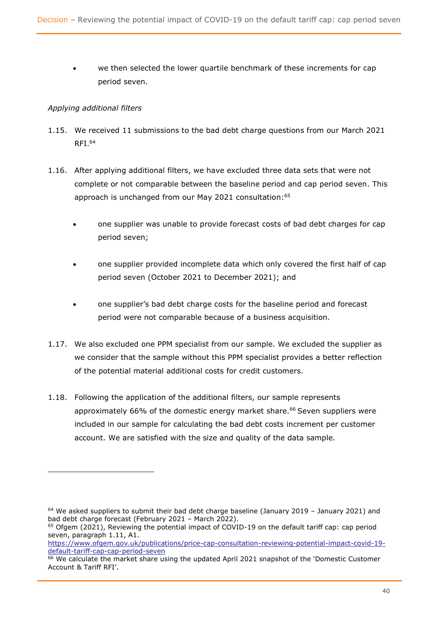we then selected the lower quartile benchmark of these increments for cap period seven.

### *Applying additional filters*

- 1.15. We received 11 submissions to the bad debt charge questions from our March 2021 RFI.<sup>64</sup>
- 1.16. After applying additional filters, we have excluded three data sets that were not complete or not comparable between the baseline period and cap period seven. This approach is unchanged from our May 2021 consultation: 65
	- one supplier was unable to provide forecast costs of bad debt charges for cap period seven;
	- one supplier provided incomplete data which only covered the first half of cap period seven (October 2021 to December 2021); and
	- one supplier's bad debt charge costs for the baseline period and forecast period were not comparable because of a business acquisition.
- 1.17. We also excluded one PPM specialist from our sample. We excluded the supplier as we consider that the sample without this PPM specialist provides a better reflection of the potential material additional costs for credit customers.
- 1.18. Following the application of the additional filters, our sample represents approximately 66% of the domestic energy market share.<sup>66</sup> Seven suppliers were included in our sample for calculating the bad debt costs increment per customer account. We are satisfied with the size and quality of the data sample.

 $64$  We asked suppliers to submit their bad debt charge baseline (January 2019 – January 2021) and bad debt charge forecast (February 2021 – March 2022).

<sup>&</sup>lt;sup>65</sup> Ofgem (2021), Reviewing the potential impact of COVID-19 on the default tariff cap: cap period seven, paragraph 1.11, A1.

[https://www.ofgem.gov.uk/publications/price-cap-consultation-reviewing-potential-impact-covid-19](https://www.ofgem.gov.uk/publications/price-cap-consultation-reviewing-potential-impact-covid-19-default-tariff-cap-cap-period-seven) [default-tariff-cap-cap-period-seven](https://www.ofgem.gov.uk/publications/price-cap-consultation-reviewing-potential-impact-covid-19-default-tariff-cap-cap-period-seven)

<sup>&</sup>lt;sup>66</sup> We calculate the market share using the updated April 2021 snapshot of the 'Domestic Customer Account & Tariff RFI'.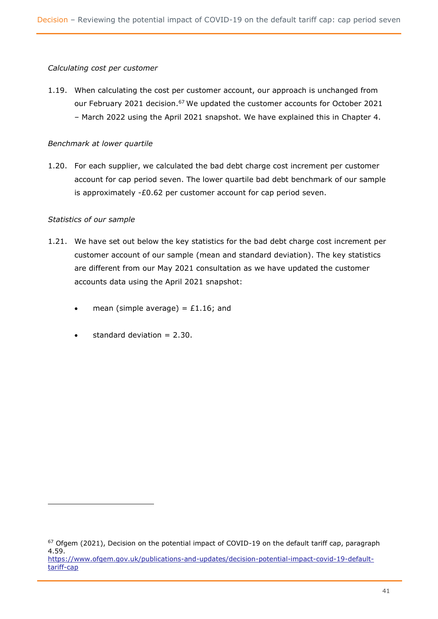#### *Calculating cost per customer*

1.19. When calculating the cost per customer account, our approach is unchanged from our February 2021 decision.<sup>67</sup> We updated the customer accounts for October 2021 – March 2022 using the April 2021 snapshot. We have explained this in Chapter 4.

#### *Benchmark at lower quartile*

1.20. For each supplier, we calculated the bad debt charge cost increment per customer account for cap period seven. The lower quartile bad debt benchmark of our sample is approximately -£0.62 per customer account for cap period seven.

#### *Statistics of our sample*

- 1.21. We have set out below the key statistics for the bad debt charge cost increment per customer account of our sample (mean and standard deviation). The key statistics are different from our May 2021 consultation as we have updated the customer accounts data using the April 2021 snapshot:
	- mean (simple average) =  $£1.16$ ; and
	- standard deviation  $= 2.30$ .

<sup>&</sup>lt;sup>67</sup> Ofgem (2021), Decision on the potential impact of COVID-19 on the default tariff cap, paragraph 4.59. [https://www.ofgem.gov.uk/publications-and-updates/decision-potential-impact-covid-19-default-](https://www.ofgem.gov.uk/publications-and-updates/decision-potential-impact-covid-19-default-tariff-cap)

[tariff-cap](https://www.ofgem.gov.uk/publications-and-updates/decision-potential-impact-covid-19-default-tariff-cap)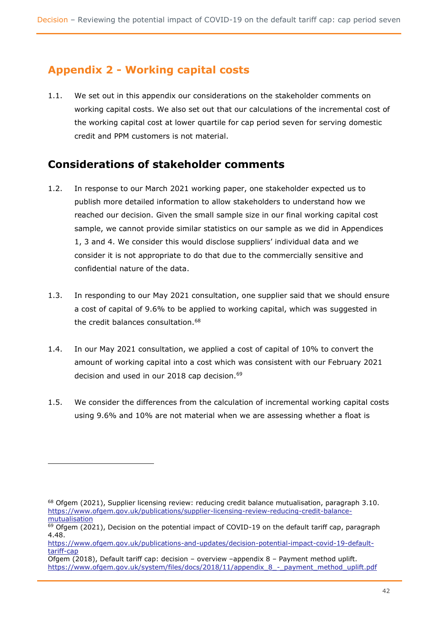# **Appendix 2 - Working capital costs**

1.1. We set out in this appendix our considerations on the stakeholder comments on working capital costs. We also set out that our calculations of the incremental cost of the working capital cost at lower quartile for cap period seven for serving domestic credit and PPM customers is not material.

# **Considerations of stakeholder comments**

- 1.2. In response to our March 2021 working paper, one stakeholder expected us to publish more detailed information to allow stakeholders to understand how we reached our decision. Given the small sample size in our final working capital cost sample, we cannot provide similar statistics on our sample as we did in Appendices 1, 3 and 4. We consider this would disclose suppliers' individual data and we consider it is not appropriate to do that due to the commercially sensitive and confidential nature of the data.
- 1.3. In responding to our May 2021 consultation, one supplier said that we should ensure a cost of capital of 9.6% to be applied to working capital, which was suggested in the credit balances consultation.<sup>68</sup>
- 1.4. In our May 2021 consultation, we applied a cost of capital of 10% to convert the amount of working capital into a cost which was consistent with our February 2021 decision and used in our 2018 cap decision.<sup>69</sup>
- 1.5. We consider the differences from the calculation of incremental working capital costs using 9.6% and 10% are not material when we are assessing whether a float is

 $68$  Ofgem (2021), Supplier licensing review: reducing credit balance mutualisation, paragraph 3.10. [https://www.ofgem.gov.uk/publications/supplier-licensing-review-reducing-credit-balance](https://www.ofgem.gov.uk/publications/supplier-licensing-review-reducing-credit-balance-mutualisation)[mutualisation](https://www.ofgem.gov.uk/publications/supplier-licensing-review-reducing-credit-balance-mutualisation)

 $69$  Ofgem (2021), Decision on the potential impact of COVID-19 on the default tariff cap, paragraph 4.48.

[https://www.ofgem.gov.uk/publications-and-updates/decision-potential-impact-covid-19-default](https://www.ofgem.gov.uk/publications-and-updates/decision-potential-impact-covid-19-default-tariff-cap)[tariff-cap](https://www.ofgem.gov.uk/publications-and-updates/decision-potential-impact-covid-19-default-tariff-cap)

Ofgem (2018), Default tariff cap: decision – overview –appendix 8 – Payment method uplift. [https://www.ofgem.gov.uk/system/files/docs/2018/11/appendix\\_8\\_-\\_payment\\_method\\_uplift.pdf](https://www.ofgem.gov.uk/system/files/docs/2018/11/appendix_8_-_payment_method_uplift.pdf)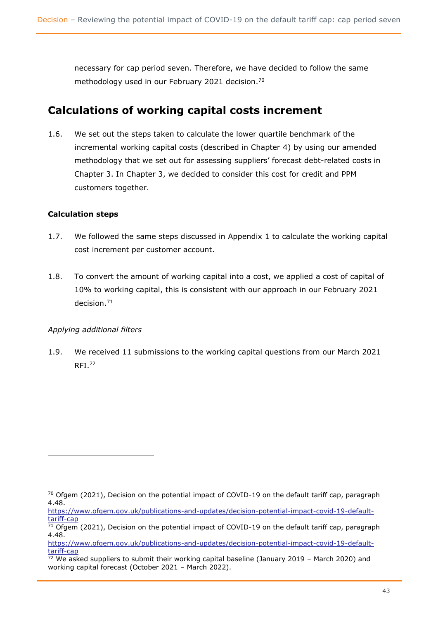necessary for cap period seven. Therefore, we have decided to follow the same methodology used in our February 2021 decision.<sup>70</sup>

# **Calculations of working capital costs increment**

1.6. We set out the steps taken to calculate the lower quartile benchmark of the incremental working capital costs (described in Chapter 4) by using our amended methodology that we set out for assessing suppliers' forecast debt-related costs in Chapter 3. In Chapter 3, we decided to consider this cost for credit and PPM customers together.

### **Calculation steps**

- 1.7. We followed the same steps discussed in Appendix 1 to calculate the working capital cost increment per customer account.
- 1.8. To convert the amount of working capital into a cost, we applied a cost of capital of 10% to working capital, this is consistent with our approach in our February 2021 decision.<sup>71</sup>

### *Applying additional filters*

1.9. We received 11 submissions to the working capital questions from our March 2021  $RFI.<sup>72</sup>$ 

 $70$  Ofgem (2021), Decision on the potential impact of COVID-19 on the default tariff cap, paragraph 4.48.

[https://www.ofgem.gov.uk/publications-and-updates/decision-potential-impact-covid-19-default](https://www.ofgem.gov.uk/publications-and-updates/decision-potential-impact-covid-19-default-tariff-cap)[tariff-cap](https://www.ofgem.gov.uk/publications-and-updates/decision-potential-impact-covid-19-default-tariff-cap)

 $\frac{71}{10}$  Ofgem (2021), Decision on the potential impact of COVID-19 on the default tariff cap, paragraph 4.48.

[https://www.ofgem.gov.uk/publications-and-updates/decision-potential-impact-covid-19-default](https://www.ofgem.gov.uk/publications-and-updates/decision-potential-impact-covid-19-default-tariff-cap)[tariff-cap](https://www.ofgem.gov.uk/publications-and-updates/decision-potential-impact-covid-19-default-tariff-cap)

 $72$  We asked suppliers to submit their working capital baseline (January 2019 – March 2020) and working capital forecast (October 2021 – March 2022).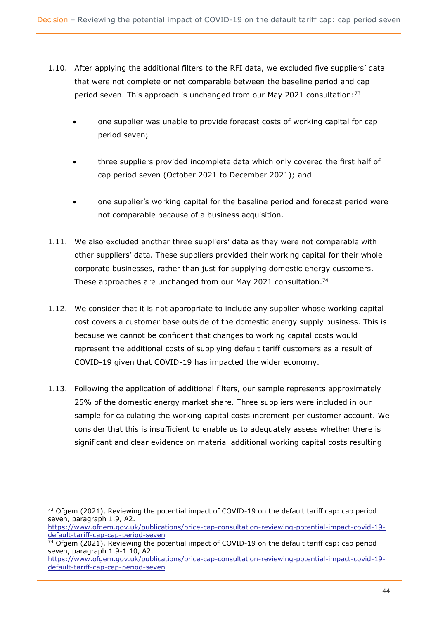- 1.10. After applying the additional filters to the RFI data, we excluded five suppliers' data that were not complete or not comparable between the baseline period and cap period seven. This approach is unchanged from our May 2021 consultation:<sup>73</sup>
	- one supplier was unable to provide forecast costs of working capital for cap period seven;
	- three suppliers provided incomplete data which only covered the first half of cap period seven (October 2021 to December 2021); and
	- one supplier's working capital for the baseline period and forecast period were not comparable because of a business acquisition.
- 1.11. We also excluded another three suppliers' data as they were not comparable with other suppliers' data. These suppliers provided their working capital for their whole corporate businesses, rather than just for supplying domestic energy customers. These approaches are unchanged from our May 2021 consultation.<sup>74</sup>
- 1.12. We consider that it is not appropriate to include any supplier whose working capital cost covers a customer base outside of the domestic energy supply business. This is because we cannot be confident that changes to working capital costs would represent the additional costs of supplying default tariff customers as a result of COVID-19 given that COVID-19 has impacted the wider economy.
- 1.13. Following the application of additional filters, our sample represents approximately 25% of the domestic energy market share. Three suppliers were included in our sample for calculating the working capital costs increment per customer account. We consider that this is insufficient to enable us to adequately assess whether there is significant and clear evidence on material additional working capital costs resulting

 $73$  Ofgem (2021), Reviewing the potential impact of COVID-19 on the default tariff cap: cap period seven, paragraph 1.9, A2.

[https://www.ofgem.gov.uk/publications/price-cap-consultation-reviewing-potential-impact-covid-19](https://www.ofgem.gov.uk/publications/price-cap-consultation-reviewing-potential-impact-covid-19-default-tariff-cap-cap-period-seven) [default-tariff-cap-cap-period-seven](https://www.ofgem.gov.uk/publications/price-cap-consultation-reviewing-potential-impact-covid-19-default-tariff-cap-cap-period-seven)

<sup>&</sup>lt;sup>74</sup> Ofgem (2021), Reviewing the potential impact of COVID-19 on the default tariff cap: cap period seven, paragraph 1.9-1.10, A2.

[https://www.ofgem.gov.uk/publications/price-cap-consultation-reviewing-potential-impact-covid-19](https://www.ofgem.gov.uk/publications/price-cap-consultation-reviewing-potential-impact-covid-19-default-tariff-cap-cap-period-seven) [default-tariff-cap-cap-period-seven](https://www.ofgem.gov.uk/publications/price-cap-consultation-reviewing-potential-impact-covid-19-default-tariff-cap-cap-period-seven)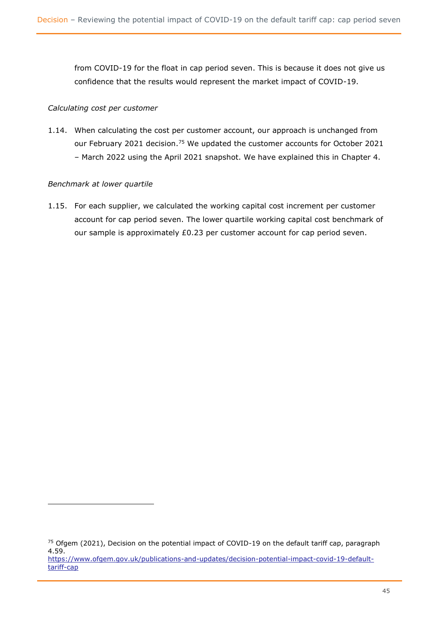from COVID-19 for the float in cap period seven. This is because it does not give us confidence that the results would represent the market impact of COVID-19.

### *Calculating cost per customer*

1.14. When calculating the cost per customer account, our approach is unchanged from our February 2021 decision.<sup>75</sup> We updated the customer accounts for October 2021 – March 2022 using the April 2021 snapshot. We have explained this in Chapter 4.

#### *Benchmark at lower quartile*

1.15. For each supplier, we calculated the working capital cost increment per customer account for cap period seven. The lower quartile working capital cost benchmark of our sample is approximately £0.23 per customer account for cap period seven.

<sup>&</sup>lt;sup>75</sup> Ofgem (2021), Decision on the potential impact of COVID-19 on the default tariff cap, paragraph 4.59. [https://www.ofgem.gov.uk/publications-and-updates/decision-potential-impact-covid-19-default-](https://www.ofgem.gov.uk/publications-and-updates/decision-potential-impact-covid-19-default-tariff-cap)

[tariff-cap](https://www.ofgem.gov.uk/publications-and-updates/decision-potential-impact-covid-19-default-tariff-cap)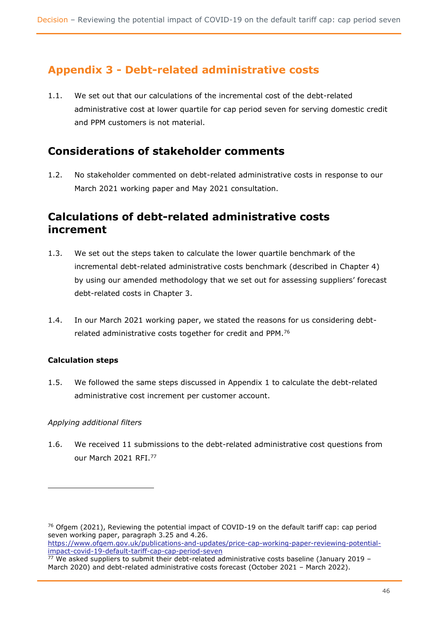# **Appendix 3 - Debt-related administrative costs**

1.1. We set out that our calculations of the incremental cost of the debt-related administrative cost at lower quartile for cap period seven for serving domestic credit and PPM customers is not material.

# **Considerations of stakeholder comments**

1.2. No stakeholder commented on debt-related administrative costs in response to our March 2021 working paper and May 2021 consultation.

# **Calculations of debt-related administrative costs increment**

- 1.3. We set out the steps taken to calculate the lower quartile benchmark of the incremental debt-related administrative costs benchmark (described in Chapter 4) by using our amended methodology that we set out for assessing suppliers' forecast debt-related costs in Chapter 3.
- 1.4. In our March 2021 working paper, we stated the reasons for us considering debtrelated administrative costs together for credit and PPM.<sup>76</sup>

### **Calculation steps**

1.5. We followed the same steps discussed in Appendix 1 to calculate the debt-related administrative cost increment per customer account.

### *Applying additional filters*

1.6. We received 11 submissions to the debt-related administrative cost questions from our March 2021 RFI.<sup>77</sup>

[impact-covid-19-default-tariff-cap-cap-period-seven](https://www.ofgem.gov.uk/publications-and-updates/price-cap-working-paper-reviewing-potential-impact-covid-19-default-tariff-cap-cap-period-seven)

 $76$  Ofgem (2021), Reviewing the potential impact of COVID-19 on the default tariff cap: cap period seven working paper, paragraph 3.25 and 4.26. [https://www.ofgem.gov.uk/publications-and-updates/price-cap-working-paper-reviewing-potential-](https://www.ofgem.gov.uk/publications-and-updates/price-cap-working-paper-reviewing-potential-impact-covid-19-default-tariff-cap-cap-period-seven)

 $77$  We asked suppliers to submit their debt-related administrative costs baseline (January 2019 – March 2020) and debt-related administrative costs forecast (October 2021 – March 2022).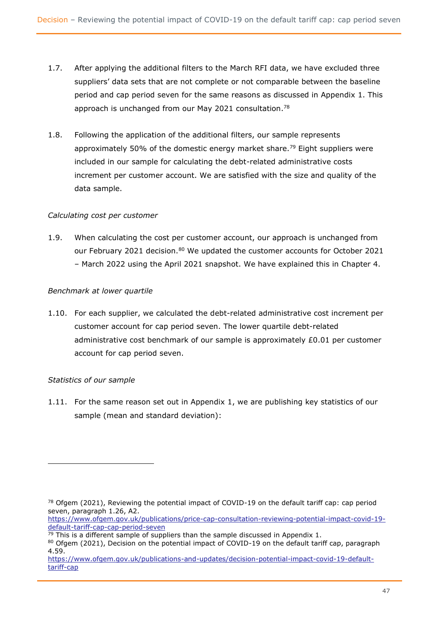- 1.7. After applying the additional filters to the March RFI data, we have excluded three suppliers' data sets that are not complete or not comparable between the baseline period and cap period seven for the same reasons as discussed in Appendix 1. This approach is unchanged from our May 2021 consultation.<sup>78</sup>
- 1.8. Following the application of the additional filters, our sample represents approximately 50% of the domestic energy market share.<sup>79</sup> Eight suppliers were included in our sample for calculating the debt-related administrative costs increment per customer account. We are satisfied with the size and quality of the data sample.

### *Calculating cost per customer*

1.9. When calculating the cost per customer account, our approach is unchanged from our February 2021 decision.<sup>80</sup> We updated the customer accounts for October 2021 – March 2022 using the April 2021 snapshot. We have explained this in Chapter 4.

### *Benchmark at lower quartile*

1.10. For each supplier, we calculated the debt-related administrative cost increment per customer account for cap period seven. The lower quartile debt-related administrative cost benchmark of our sample is approximately £0.01 per customer account for cap period seven.

### *Statistics of our sample*

1.11. For the same reason set out in Appendix 1, we are publishing key statistics of our sample (mean and standard deviation):

 $78$  Ofgem (2021), Reviewing the potential impact of COVID-19 on the default tariff cap: cap period seven, paragraph 1.26, A2.

[https://www.ofgem.gov.uk/publications/price-cap-consultation-reviewing-potential-impact-covid-19](https://www.ofgem.gov.uk/publications/price-cap-consultation-reviewing-potential-impact-covid-19-default-tariff-cap-cap-period-seven) [default-tariff-cap-cap-period-seven](https://www.ofgem.gov.uk/publications/price-cap-consultation-reviewing-potential-impact-covid-19-default-tariff-cap-cap-period-seven)

 $79$  This is a different sample of suppliers than the sample discussed in Appendix 1.

<sup>80</sup> Ofgem (2021), Decision on the potential impact of COVID-19 on the default tariff cap, paragraph 4.59.

[https://www.ofgem.gov.uk/publications-and-updates/decision-potential-impact-covid-19-default](https://www.ofgem.gov.uk/publications-and-updates/decision-potential-impact-covid-19-default-tariff-cap)[tariff-cap](https://www.ofgem.gov.uk/publications-and-updates/decision-potential-impact-covid-19-default-tariff-cap)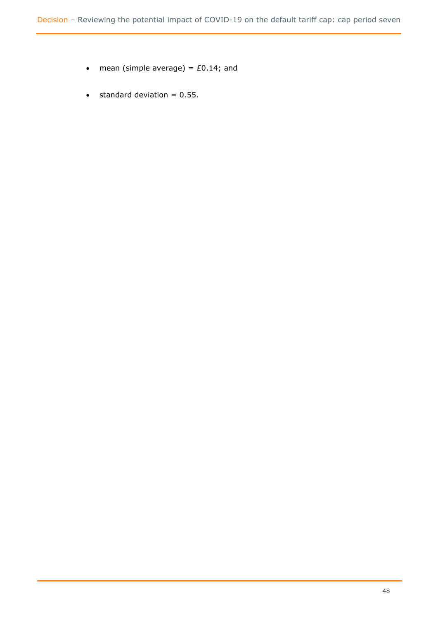- mean (simple average) =  $£0.14$ ; and
- $\bullet$  standard deviation = 0.55.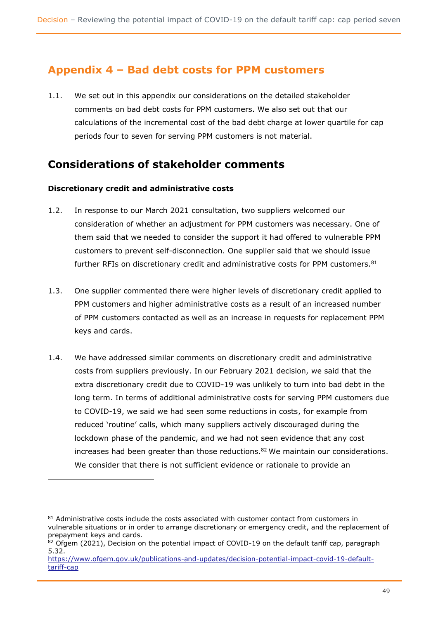# **Appendix 4 – Bad debt costs for PPM customers**

1.1. We set out in this appendix our considerations on the detailed stakeholder comments on bad debt costs for PPM customers. We also set out that our calculations of the incremental cost of the bad debt charge at lower quartile for cap periods four to seven for serving PPM customers is not material.

# **Considerations of stakeholder comments**

### **Discretionary credit and administrative costs**

- 1.2. In response to our March 2021 consultation, two suppliers welcomed our consideration of whether an adjustment for PPM customers was necessary. One of them said that we needed to consider the support it had offered to vulnerable PPM customers to prevent self-disconnection. One supplier said that we should issue further RFIs on discretionary credit and administrative costs for PPM customers.<sup>81</sup>
- 1.3. One supplier commented there were higher levels of discretionary credit applied to PPM customers and higher administrative costs as a result of an increased number of PPM customers contacted as well as an increase in requests for replacement PPM keys and cards.
- 1.4. We have addressed similar comments on discretionary credit and administrative costs from suppliers previously. In our February 2021 decision, we said that the extra discretionary credit due to COVID-19 was unlikely to turn into bad debt in the long term. In terms of additional administrative costs for serving PPM customers due to COVID-19, we said we had seen some reductions in costs, for example from reduced 'routine' calls, which many suppliers actively discouraged during the lockdown phase of the pandemic, and we had not seen evidence that any cost increases had been greater than those reductions. ${}^{82}$  We maintain our considerations. We consider that there is not sufficient evidence or rationale to provide an

<sup>81</sup> Administrative costs include the costs associated with customer contact from customers in vulnerable situations or in order to arrange discretionary or emergency credit, and the replacement of prepayment keys and cards.

 $82$  Ofgem (2021), Decision on the potential impact of COVID-19 on the default tariff cap, paragraph 5.32.

[https://www.ofgem.gov.uk/publications-and-updates/decision-potential-impact-covid-19-default](https://www.ofgem.gov.uk/publications-and-updates/decision-potential-impact-covid-19-default-tariff-cap)[tariff-cap](https://www.ofgem.gov.uk/publications-and-updates/decision-potential-impact-covid-19-default-tariff-cap)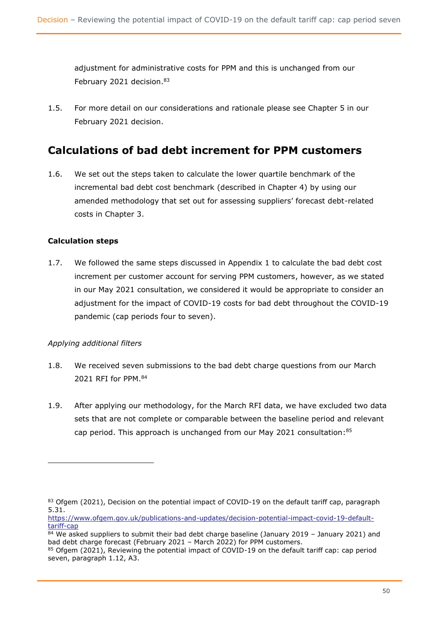adjustment for administrative costs for PPM and this is unchanged from our February 2021 decision.<sup>83</sup>

1.5. For more detail on our considerations and rationale please see Chapter 5 in our February 2021 decision.

# **Calculations of bad debt increment for PPM customers**

1.6. We set out the steps taken to calculate the lower quartile benchmark of the incremental bad debt cost benchmark (described in Chapter 4) by using our amended methodology that set out for assessing suppliers' forecast debt-related costs in Chapter 3.

### **Calculation steps**

1.7. We followed the same steps discussed in Appendix 1 to calculate the bad debt cost increment per customer account for serving PPM customers, however, as we stated in our May 2021 consultation, we considered it would be appropriate to consider an adjustment for the impact of COVID-19 costs for bad debt throughout the COVID-19 pandemic (cap periods four to seven).

### *Applying additional filters*

- 1.8. We received seven submissions to the bad debt charge questions from our March 2021 RFI for PPM.<sup>84</sup>
- 1.9. After applying our methodology, for the March RFI data, we have excluded two data sets that are not complete or comparable between the baseline period and relevant cap period. This approach is unchanged from our May 2021 consultation: 85

<sup>83</sup> Ofgem (2021), Decision on the potential impact of COVID-19 on the default tariff cap, paragraph 5.31.

[https://www.ofgem.gov.uk/publications-and-updates/decision-potential-impact-covid-19-default](https://www.ofgem.gov.uk/publications-and-updates/decision-potential-impact-covid-19-default-tariff-cap)[tariff-cap](https://www.ofgem.gov.uk/publications-and-updates/decision-potential-impact-covid-19-default-tariff-cap)

 $84$  We asked suppliers to submit their bad debt charge baseline (January 2019 – January 2021) and bad debt charge forecast (February 2021 – March 2022) for PPM customers.

<sup>85</sup> Ofgem (2021), Reviewing the potential impact of COVID-19 on the default tariff cap: cap period seven, paragraph 1.12, A3.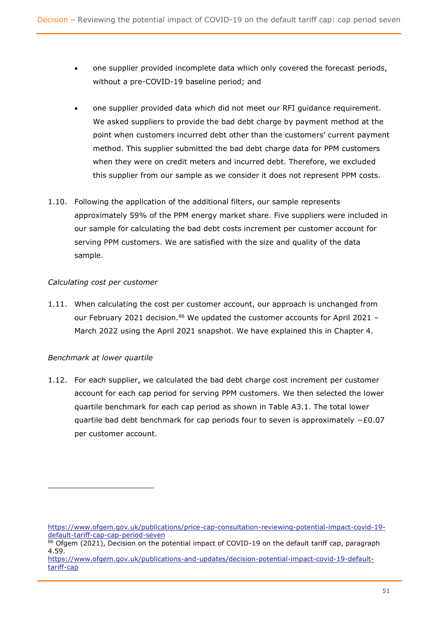- one supplier provided incomplete data which only covered the forecast periods, without a pre-COVID-19 baseline period; and
- one supplier provided data which did not meet our RFI guidance requirement. We asked suppliers to provide the bad debt charge by payment method at the point when customers incurred debt other than the customers' current payment method. This supplier submitted the bad debt charge data for PPM customers when they were on credit meters and incurred debt. Therefore, we excluded this supplier from our sample as we consider it does not represent PPM costs.
- 1.10. Following the application of the additional filters, our sample represents approximately 59% of the PPM energy market share. Five suppliers were included in our sample for calculating the bad debt costs increment per customer account for serving PPM customers. We are satisfied with the size and quality of the data sample.

### *Calculating cost per customer*

1.11. When calculating the cost per customer account, our approach is unchanged from our February 2021 decision. $86$  We updated the customer accounts for April 2021 -March 2022 using the April 2021 snapshot. We have explained this in Chapter 4.

### *Benchmark at lower quartile*

1.12. For each supplier, we calculated the bad debt charge cost increment per customer account for each cap period for serving PPM customers. We then selected the lower quartile benchmark for each cap period as shown in Table A3.1. The total lower quartile bad debt benchmark for cap periods four to seven is approximately −£0.07 per customer account.

[https://www.ofgem.gov.uk/publications/price-cap-consultation-reviewing-potential-impact-covid-19](https://www.ofgem.gov.uk/publications/price-cap-consultation-reviewing-potential-impact-covid-19-default-tariff-cap-cap-period-seven) [default-tariff-cap-cap-period-seven](https://www.ofgem.gov.uk/publications/price-cap-consultation-reviewing-potential-impact-covid-19-default-tariff-cap-cap-period-seven)

 $86$  Ofgem (2021), Decision on the potential impact of COVID-19 on the default tariff cap, paragraph 4.59.

[https://www.ofgem.gov.uk/publications-and-updates/decision-potential-impact-covid-19-default](https://www.ofgem.gov.uk/publications-and-updates/decision-potential-impact-covid-19-default-tariff-cap)[tariff-cap](https://www.ofgem.gov.uk/publications-and-updates/decision-potential-impact-covid-19-default-tariff-cap)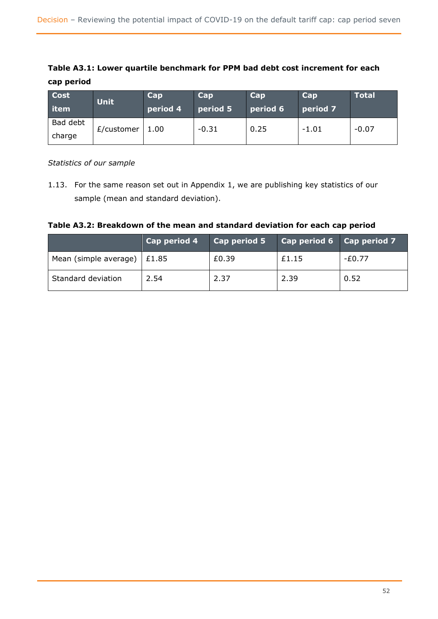### **Table A3.1: Lower quartile benchmark for PPM bad debt cost increment for each cap period**

| <b>Cost</b><br><b>l</b> item | <b>Unit</b> | Cap<br>period 4 | Cap<br>period 5 | <b>Cap</b><br>period 6 | Cap<br>period 7 | <b>Total</b> |
|------------------------------|-------------|-----------------|-----------------|------------------------|-----------------|--------------|
| Bad debt<br>charge           | £/customer  | 1.00            | $-0.31$         | 0.25                   | $-1.01$         | $-0.07$      |

*Statistics of our sample* 

1.13. For the same reason set out in Appendix 1, we are publishing key statistics of our sample (mean and standard deviation).

**Table A3.2: Breakdown of the mean and standard deviation for each cap period**

|                                     | Cap period 4 | Cap period 5 | Cap period 6 Cap period 7 |        |
|-------------------------------------|--------------|--------------|---------------------------|--------|
| Mean (simple average) $\vert$ £1.85 |              | £0.39        | £1.15                     | -£0.77 |
| Standard deviation                  | 2.54         | 2.37         | 2.39                      | 0.52   |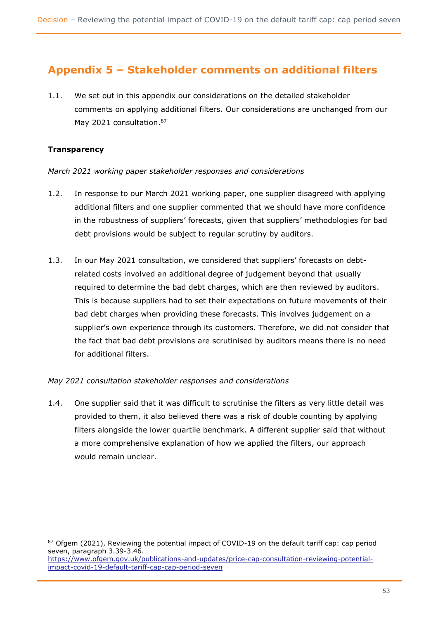# **Appendix 5 – Stakeholder comments on additional filters**

1.1. We set out in this appendix our considerations on the detailed stakeholder comments on applying additional filters. Our considerations are unchanged from our May 2021 consultation.<sup>87</sup>

### **Transparency**

*March 2021 working paper stakeholder responses and considerations*

- 1.2. In response to our March 2021 working paper, one supplier disagreed with applying additional filters and one supplier commented that we should have more confidence in the robustness of suppliers' forecasts, given that suppliers' methodologies for bad debt provisions would be subject to regular scrutiny by auditors.
- 1.3. In our May 2021 consultation, we considered that suppliers' forecasts on debtrelated costs involved an additional degree of judgement beyond that usually required to determine the bad debt charges, which are then reviewed by auditors. This is because suppliers had to set their expectations on future movements of their bad debt charges when providing these forecasts. This involves judgement on a supplier's own experience through its customers. Therefore, we did not consider that the fact that bad debt provisions are scrutinised by auditors means there is no need for additional filters.

### *May 2021 consultation stakeholder responses and considerations*

1.4. One supplier said that it was difficult to scrutinise the filters as very little detail was provided to them, it also believed there was a risk of double counting by applying filters alongside the lower quartile benchmark. A different supplier said that without a more comprehensive explanation of how we applied the filters, our approach would remain unclear.

 $87$  Ofgem (2021), Reviewing the potential impact of COVID-19 on the default tariff cap: cap period seven, paragraph 3.39-3.46. [https://www.ofgem.gov.uk/publications-and-updates/price-cap-consultation-reviewing-potential-](https://www.ofgem.gov.uk/publications-and-updates/price-cap-consultation-reviewing-potential-impact-covid-19-default-tariff-cap-cap-period-seven)

[impact-covid-19-default-tariff-cap-cap-period-seven](https://www.ofgem.gov.uk/publications-and-updates/price-cap-consultation-reviewing-potential-impact-covid-19-default-tariff-cap-cap-period-seven)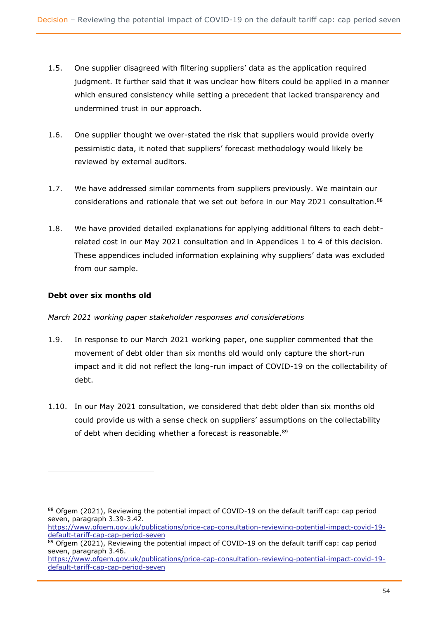- 1.5. One supplier disagreed with filtering suppliers' data as the application required judgment. It further said that it was unclear how filters could be applied in a manner which ensured consistency while setting a precedent that lacked transparency and undermined trust in our approach.
- 1.6. One supplier thought we over-stated the risk that suppliers would provide overly pessimistic data, it noted that suppliers' forecast methodology would likely be reviewed by external auditors.
- 1.7. We have addressed similar comments from suppliers previously. We maintain our considerations and rationale that we set out before in our May 2021 consultation.<sup>88</sup>
- 1.8. We have provided detailed explanations for applying additional filters to each debtrelated cost in our May 2021 consultation and in Appendices 1 to 4 of this decision. These appendices included information explaining why suppliers' data was excluded from our sample.

### **Debt over six months old**

### *March 2021 working paper stakeholder responses and considerations*

- 1.9. In response to our March 2021 working paper, one supplier commented that the movement of debt older than six months old would only capture the short-run impact and it did not reflect the long-run impact of COVID-19 on the collectability of debt.
- 1.10. In our May 2021 consultation, we considered that debt older than six months old could provide us with a sense check on suppliers' assumptions on the collectability of debt when deciding whether a forecast is reasonable.<sup>89</sup>

<sup>88</sup> Ofgem (2021), Reviewing the potential impact of COVID-19 on the default tariff cap: cap period seven, paragraph 3.39-3.42.

[https://www.ofgem.gov.uk/publications/price-cap-consultation-reviewing-potential-impact-covid-19](https://www.ofgem.gov.uk/publications/price-cap-consultation-reviewing-potential-impact-covid-19-default-tariff-cap-cap-period-seven) [default-tariff-cap-cap-period-seven](https://www.ofgem.gov.uk/publications/price-cap-consultation-reviewing-potential-impact-covid-19-default-tariff-cap-cap-period-seven)

<sup>89</sup> Ofgem (2021), Reviewing the potential impact of COVID-19 on the default tariff cap: cap period seven, paragraph 3.46.

[https://www.ofgem.gov.uk/publications/price-cap-consultation-reviewing-potential-impact-covid-19](https://www.ofgem.gov.uk/publications/price-cap-consultation-reviewing-potential-impact-covid-19-default-tariff-cap-cap-period-seven) [default-tariff-cap-cap-period-seven](https://www.ofgem.gov.uk/publications/price-cap-consultation-reviewing-potential-impact-covid-19-default-tariff-cap-cap-period-seven)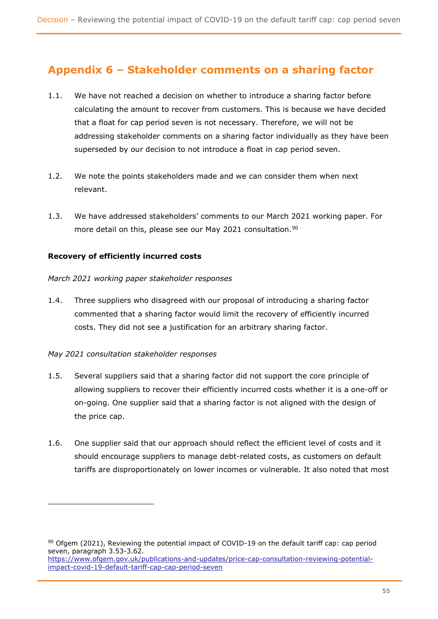# **Appendix 6 – Stakeholder comments on a sharing factor**

- 1.1. We have not reached a decision on whether to introduce a sharing factor before calculating the amount to recover from customers. This is because we have decided that a float for cap period seven is not necessary. Therefore, we will not be addressing stakeholder comments on a sharing factor individually as they have been superseded by our decision to not introduce a float in cap period seven.
- 1.2. We note the points stakeholders made and we can consider them when next relevant.
- 1.3. We have addressed stakeholders' comments to our March 2021 working paper. For more detail on this, please see our May 2021 consultation.<sup>90</sup>

### **Recovery of efficiently incurred costs**

#### *March 2021 working paper stakeholder responses*

1.4. Three suppliers who disagreed with our proposal of introducing a sharing factor commented that a sharing factor would limit the recovery of efficiently incurred costs. They did not see a justification for an arbitrary sharing factor.

### *May 2021 consultation stakeholder responses*

- 1.5. Several suppliers said that a sharing factor did not support the core principle of allowing suppliers to recover their efficiently incurred costs whether it is a one-off or on-going. One supplier said that a sharing factor is not aligned with the design of the price cap.
- 1.6. One supplier said that our approach should reflect the efficient level of costs and it should encourage suppliers to manage debt-related costs, as customers on default tariffs are disproportionately on lower incomes or vulnerable. It also noted that most

 $90$  Ofgem (2021), Reviewing the potential impact of COVID-19 on the default tariff cap: cap period seven, paragraph 3.53-3.62. [https://www.ofgem.gov.uk/publications-and-updates/price-cap-consultation-reviewing-potential](https://www.ofgem.gov.uk/publications-and-updates/price-cap-consultation-reviewing-potential-impact-covid-19-default-tariff-cap-cap-period-seven)[impact-covid-19-default-tariff-cap-cap-period-seven](https://www.ofgem.gov.uk/publications-and-updates/price-cap-consultation-reviewing-potential-impact-covid-19-default-tariff-cap-cap-period-seven)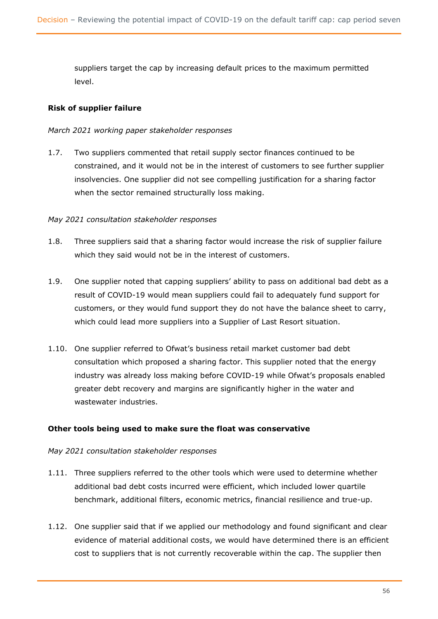suppliers target the cap by increasing default prices to the maximum permitted level.

### **Risk of supplier failure**

#### *March 2021 working paper stakeholder responses*

1.7. Two suppliers commented that retail supply sector finances continued to be constrained, and it would not be in the interest of customers to see further supplier insolvencies. One supplier did not see compelling justification for a sharing factor when the sector remained structurally loss making.

#### *May 2021 consultation stakeholder responses*

- 1.8. Three suppliers said that a sharing factor would increase the risk of supplier failure which they said would not be in the interest of customers.
- 1.9. One supplier noted that capping suppliers' ability to pass on additional bad debt as a result of COVID-19 would mean suppliers could fail to adequately fund support for customers, or they would fund support they do not have the balance sheet to carry, which could lead more suppliers into a Supplier of Last Resort situation.
- 1.10. One supplier referred to Ofwat's business retail market customer bad debt consultation which proposed a sharing factor. This supplier noted that the energy industry was already loss making before COVID-19 while Ofwat's proposals enabled greater debt recovery and margins are significantly higher in the water and wastewater industries.

#### **Other tools being used to make sure the float was conservative**

#### *May 2021 consultation stakeholder responses*

- 1.11. Three suppliers referred to the other tools which were used to determine whether additional bad debt costs incurred were efficient, which included lower quartile benchmark, additional filters, economic metrics, financial resilience and true-up.
- 1.12. One supplier said that if we applied our methodology and found significant and clear evidence of material additional costs, we would have determined there is an efficient cost to suppliers that is not currently recoverable within the cap. The supplier then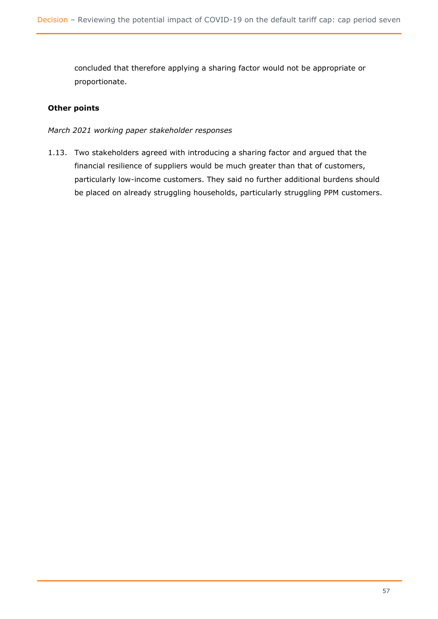concluded that therefore applying a sharing factor would not be appropriate or proportionate.

### **Other points**

*March 2021 working paper stakeholder responses* 

1.13. Two stakeholders agreed with introducing a sharing factor and argued that the financial resilience of suppliers would be much greater than that of customers, particularly low-income customers. They said no further additional burdens should be placed on already struggling households, particularly struggling PPM customers.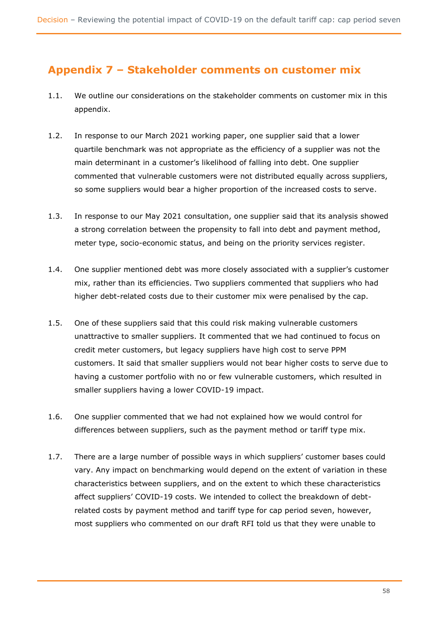# **Appendix 7 – Stakeholder comments on customer mix**

- 1.1. We outline our considerations on the stakeholder comments on customer mix in this appendix.
- 1.2. In response to our March 2021 working paper, one supplier said that a lower quartile benchmark was not appropriate as the efficiency of a supplier was not the main determinant in a customer's likelihood of falling into debt. One supplier commented that vulnerable customers were not distributed equally across suppliers, so some suppliers would bear a higher proportion of the increased costs to serve.
- 1.3. In response to our May 2021 consultation, one supplier said that its analysis showed a strong correlation between the propensity to fall into debt and payment method, meter type, socio-economic status, and being on the priority services register.
- 1.4. One supplier mentioned debt was more closely associated with a supplier's customer mix, rather than its efficiencies. Two suppliers commented that suppliers who had higher debt-related costs due to their customer mix were penalised by the cap.
- 1.5. One of these suppliers said that this could risk making vulnerable customers unattractive to smaller suppliers. It commented that we had continued to focus on credit meter customers, but legacy suppliers have high cost to serve PPM customers. It said that smaller suppliers would not bear higher costs to serve due to having a customer portfolio with no or few vulnerable customers, which resulted in smaller suppliers having a lower COVID-19 impact.
- 1.6. One supplier commented that we had not explained how we would control for differences between suppliers, such as the payment method or tariff type mix.
- 1.7. There are a large number of possible ways in which suppliers' customer bases could vary. Any impact on benchmarking would depend on the extent of variation in these characteristics between suppliers, and on the extent to which these characteristics affect suppliers' COVID-19 costs. We intended to collect the breakdown of debtrelated costs by payment method and tariff type for cap period seven, however, most suppliers who commented on our draft RFI told us that they were unable to